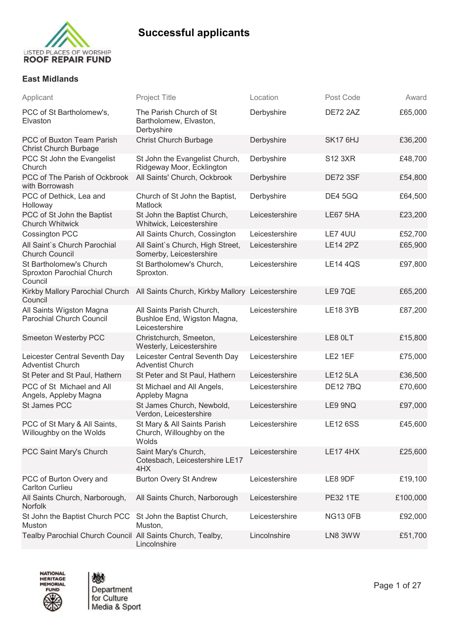

### **East Midlands**

| Applicant                                                       | <b>Project Title</b>                                                             | Location       | Post Code       | Award    |
|-----------------------------------------------------------------|----------------------------------------------------------------------------------|----------------|-----------------|----------|
| PCC of St Bartholomew's,<br>Elvaston                            | The Parish Church of St<br>Bartholomew, Elvaston,<br>Derbyshire                  | Derbyshire     | <b>DE72 2AZ</b> | £65,000  |
| PCC of Buxton Team Parish<br><b>Christ Church Burbage</b>       | <b>Christ Church Burbage</b>                                                     | Derbyshire     | SK17 6HJ        | £36,200  |
| PCC St John the Evangelist<br>Church                            | St John the Evangelist Church,<br>Ridgeway Moor, Ecklington                      | Derbyshire     | <b>S12 3XR</b>  | £48,700  |
| PCC of The Parish of Ockbrook<br>with Borrowash                 | All Saints' Church, Ockbrook                                                     | Derbyshire     | <b>DE72 3SF</b> | £54,800  |
| PCC of Dethick, Lea and<br>Holloway                             | Church of St John the Baptist,<br><b>Matlock</b>                                 | Derbyshire     | <b>DE4 5GQ</b>  | £64,500  |
| PCC of St John the Baptist<br><b>Church Whitwick</b>            | St John the Baptist Church,<br>Whitwick, Leicestershire                          | Leicestershire | <b>LE67 5HA</b> | £23,200  |
| Cossington PCC                                                  | All Saints Church, Cossington                                                    | Leicestershire | LE7 4UU         | £52,700  |
| All Saint's Church Parochial<br><b>Church Council</b>           | All Saint's Church, High Street,<br>Somerby, Leicestershire                      | Leicestershire | <b>LE14 2PZ</b> | £65,900  |
| St Bartholomew's Church<br>Sproxton Parochial Church<br>Council | St Bartholomew's Church,<br>Sproxton.                                            | Leicestershire | <b>LE14 4QS</b> | £97,800  |
| Council                                                         | Kirkby Mallory Parochial Church All Saints Church, Kirkby Mallory Leicestershire |                | LE9 7QE         | £65,200  |
| All Saints Wigston Magna<br><b>Parochial Church Council</b>     | All Saints Parish Church,<br>Bushloe End, Wigston Magna,<br>Leicestershire       | Leicestershire | <b>LE18 3YB</b> | £87,200  |
| Smeeton Westerby PCC                                            | Christchurch, Smeeton,<br>Westerly, Leicestershire                               | Leicestershire | LE8 OLT         | £15,800  |
| Leicester Central Seventh Day<br><b>Adventist Church</b>        | Leicester Central Seventh Day<br><b>Adventist Church</b>                         | Leicestershire | LE2 1EF         | £75,000  |
| St Peter and St Paul, Hathern                                   | St Peter and St Paul, Hathern                                                    | Leicestershire | <b>LE12 5LA</b> | £36,500  |
| PCC of St Michael and All<br>Angels, Appleby Magna              | St Michael and All Angels,<br>Appleby Magna                                      | Leicestershire | <b>DE127BQ</b>  | £70,600  |
| St James PCC                                                    | St James Church, Newbold,<br>Verdon, Leicestershire                              | Leicestershire | LE9 9NQ         | £97,000  |
| PCC of St Mary & All Saints,<br>Willoughby on the Wolds         | St Mary & All Saints Parish<br>Church, Willoughby on the<br>Wolds                | Leicestershire | <b>LE12 6SS</b> | £45,600  |
| PCC Saint Mary's Church                                         | Saint Mary's Church,<br>Cotesbach, Leicestershire LE17<br>4HX                    | Leicestershire | <b>LE17 4HX</b> | £25,600  |
| PCC of Burton Overy and<br><b>Carlton Curlieu</b>               | <b>Burton Overy St Andrew</b>                                                    | Leicestershire | LE8 9DF         | £19,100  |
| All Saints Church, Narborough,<br><b>Norfolk</b>                | All Saints Church, Narborough                                                    | Leicestershire | <b>PE32 1TE</b> | £100,000 |
| St John the Baptist Church PCC<br>Muston                        | St John the Baptist Church,<br>Muston,                                           | Leicestershire | <b>NG13 0FB</b> | £92,000  |
| Tealby Parochial Church Council All Saints Church, Tealby,      | Lincolnshire                                                                     | Lincolnshire   | LN8 3WW         | £51,700  |



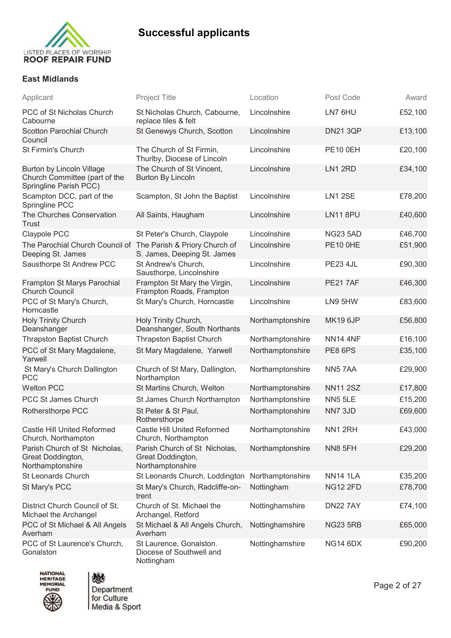

#### **East Midlands**

| Applicant                                                                            | <b>Project Title</b>                                                   | Location         | Post Code       | Award   |
|--------------------------------------------------------------------------------------|------------------------------------------------------------------------|------------------|-----------------|---------|
| PCC of St Nicholas Church<br>Cabourne                                                | St Nicholas Church, Cabourne,<br>replace tiles & felt                  | Lincolnshire     | LN7 6HU         | £52,100 |
| Scotton Parochial Church<br>Council                                                  | St Genewys Church, Scotton                                             | Lincolnshire     | <b>DN21 3QP</b> | £13,100 |
| St Firmin's Church                                                                   | The Church of St Firmin,<br>Thurlby, Diocese of Lincoln                | Lincolnshire     | <b>PE10 0EH</b> | £20,100 |
| Burton by Lincoln Village<br>Church Committee (part of the<br>Springline Parish PCC) | The Church of St Vincent,<br><b>Burton By Lincoln</b>                  | Lincolnshire     | LN1 2RD         | £34,100 |
| Scampton DCC, part of the<br>Springline PCC                                          | Scampton, St John the Baptist                                          | Lincolnshire     | <b>LN1 2SE</b>  | £78,200 |
| The Churches Conservation<br>Trust                                                   | All Saints, Haugham                                                    | Lincolnshire     | <b>LN118PU</b>  | £40,600 |
| Claypole PCC                                                                         | St Peter's Church, Claypole                                            | Lincolnshire     | <b>NG23 5AD</b> | £46,700 |
| The Parochial Church Council of The Parish & Priory Church of<br>Deeping St. James   | S. James, Deeping St. James                                            | Lincolnshire     | <b>PE10 0HE</b> | £51,900 |
| Sausthorpe St Andrew PCC                                                             | St Andrew's Church,<br>Sausthorpe, Lincolnshire                        | Lincolnshire     | <b>PE23 4JL</b> | £90,300 |
| Frampton St Marys Parochial<br><b>Church Council</b>                                 | Frampton St Mary the Virgin,<br>Frampton Roads, Frampton               | Lincolnshire     | <b>PE217AF</b>  | £46,300 |
| PCC of St Mary's Church,<br>Horncastle                                               | St Mary's Church, Horncastle                                           | Lincolnshire     | LN9 5HW         | £83,600 |
| <b>Holy Trinity Church</b><br>Deanshanger                                            | Holy Trinity Church,<br>Deanshanger, South Northants                   | Northamptonshire | <b>MK19 6JP</b> | £56,800 |
| <b>Thrapston Baptist Church</b>                                                      | <b>Thrapston Baptist Church</b>                                        | Northamptonshire | <b>NN14 4NF</b> | £16,100 |
| PCC of St Mary Magdalene,<br>Yarwell                                                 | St Mary Magdalene, Yarwell                                             | Northamptonshire | PE8 6PS         | £35,100 |
| St Mary's Church Dallington<br><b>PCC</b>                                            | Church of St Mary, Dallington,<br>Northampton                          | Northamptonshire | NN57AA          | £29,900 |
| <b>Welton PCC</b>                                                                    | St Martins Church, Welton                                              | Northamptonshire | <b>NN11 2SZ</b> | £17,800 |
| PCC St James Church                                                                  | St James Church Northampton                                            | Northamptonshire | <b>NN5 5LE</b>  | £15,200 |
| Rothersthorpe PCC                                                                    | St Peter & St Paul,<br>Rothersthorpe                                   | Northamptonshire | NN7 3JD         | £69,600 |
| Castle Hill United Reformed<br>Church, Northampton                                   | <b>Castle Hill United Reformed</b><br>Church, Northampton              | Northamptonshire | NN12RH          | £43,000 |
| Parish Church of St Nicholas,<br>Great Doddington,<br>Northamptonshire               | Parish Church of St Nicholas,<br>Great Doddington,<br>Northamptonshire | Northamptonshire | <b>NN8 5FH</b>  | £29,200 |
| St Leonards Church                                                                   | St Leonards Church, Loddington                                         | Northamptonshire | <b>NN14 1LA</b> | £35,200 |
| St Mary's PCC                                                                        | St Mary's Church, Radcliffe-on-<br>trent                               | Nottingham       | <b>NG12 2FD</b> | £78,700 |
| District Church Council of St.<br>Michael the Archangel                              | Church of St. Michael the<br>Archangel, Retford                        | Nottinghamshire  | <b>DN22 7AY</b> | £74,100 |
| PCC of St Michael & All Angels<br>Averham                                            | St Michael & All Angels Church,<br>Averham                             | Nottinghamshire  | <b>NG23 5RB</b> | £65,000 |
| PCC of St Laurence's Church,<br>Gonalston                                            | St Laurence, Gonalston.<br>Diocese of Southwell and<br>Nottingham      | Nottinghamshire  | <b>NG14 6DX</b> | £90,200 |





Page 2 of 27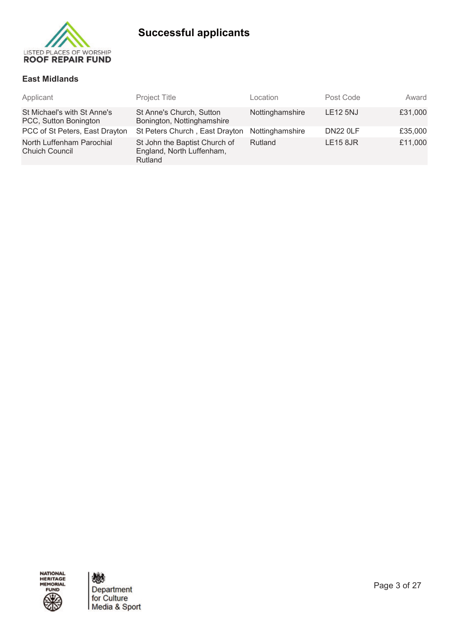

### **East Midlands**

| Applicant                                            | Project Title                                                         | Location        | Post Code       | Award   |
|------------------------------------------------------|-----------------------------------------------------------------------|-----------------|-----------------|---------|
| St Michael's with St Anne's<br>PCC, Sutton Bonington | St Anne's Church, Sutton<br>Bonington, Nottinghamshire                | Nottinghamshire | <b>LE12 5NJ</b> | £31,000 |
| PCC of St Peters, East Drayton                       | St Peters Church, East Drayton                                        | Nottinghamshire | <b>DN22 0LF</b> | £35,000 |
| North Luffenham Parochial<br><b>Chuich Council</b>   | St John the Baptist Church of<br>England, North Luffenham,<br>Rutland | Rutland         | <b>LE15 8JR</b> | £11,000 |

NATIONAL<br>HERITAGE<br>MEMORIAL **FUND** 

燃 Department<br>for Culture<br>Media & Sport

Page 3 of 27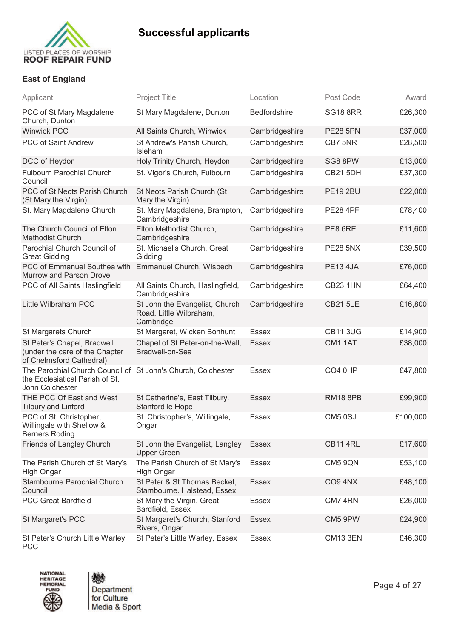

### **East of England**

| Applicant                                                                                                          | <b>Project Title</b>                                                   | Location       | Post Code           | Award    |
|--------------------------------------------------------------------------------------------------------------------|------------------------------------------------------------------------|----------------|---------------------|----------|
| PCC of St Mary Magdalene<br>Church, Dunton                                                                         | St Mary Magdalene, Dunton                                              | Bedfordshire   | <b>SG18 8RR</b>     | £26,300  |
| <b>Winwick PCC</b>                                                                                                 | All Saints Church, Winwick                                             | Cambridgeshire | <b>PE28 5PN</b>     | £37,000  |
| PCC of Saint Andrew                                                                                                | St Andrew's Parish Church,<br>Isleham                                  | Cambridgeshire | CB7 5NR             | £28,500  |
| DCC of Heydon                                                                                                      | Holy Trinity Church, Heydon                                            | Cambridgeshire | SG8 8PW             | £13,000  |
| <b>Fulbourn Parochial Church</b><br>Council                                                                        | St. Vigor's Church, Fulbourn                                           | Cambridgeshire | <b>CB21 5DH</b>     | £37,300  |
| PCC of St Neots Parish Church<br>(St Mary the Virgin)                                                              | St Neots Parish Church (St<br>Mary the Virgin)                         | Cambridgeshire | <b>PE19 2BU</b>     | £22,000  |
| St. Mary Magdalene Church                                                                                          | St. Mary Magdalene, Brampton,<br>Cambridgeshire                        | Cambridgeshire | <b>PE28 4PF</b>     | £78,400  |
| The Church Council of Elton<br><b>Methodist Church</b>                                                             | Elton Methodist Church,<br>Cambridgeshire                              | Cambridgeshire | PE8 6RE             | £11,600  |
| Parochial Church Council of<br><b>Great Gidding</b>                                                                | St. Michael's Church, Great<br>Gidding                                 | Cambridgeshire | <b>PE28 5NX</b>     | £39,500  |
| PCC of Emmanuel Southea with<br>Murrow and Parson Drove                                                            | Emmanuel Church, Wisbech                                               | Cambridgeshire | <b>PE13 4JA</b>     | £76,000  |
| PCC of All Saints Haslingfield                                                                                     | All Saints Church, Haslingfield,<br>Cambridgeshire                     | Cambridgeshire | <b>CB23 1HN</b>     | £64,400  |
| Little Wilbraham PCC                                                                                               | St John the Evangelist, Church<br>Road, Little Wilbraham,<br>Cambridge | Cambridgeshire | <b>CB21 5LE</b>     | £16,800  |
| St Margarets Church                                                                                                | St Margaret, Wicken Bonhunt                                            | <b>Essex</b>   | <b>CB11 3UG</b>     | £14,900  |
| St Peter's Chapel, Bradwell<br>(under the care of the Chapter<br>of Chelmsford Cathedral)                          | Chapel of St Peter-on-the-Wall,<br>Bradwell-on-Sea                     | <b>Essex</b>   | CM1 1AT             | £38,000  |
| The Parochial Church Council of St John's Church, Colchester<br>the Ecclesiatical Parish of St.<br>John Colchester |                                                                        | <b>Essex</b>   | CO <sub>4</sub> 0HP | £47,800  |
| THE PCC Of East and West<br><b>Tilbury and Linford</b>                                                             | St Catherine's, East Tilbury.<br>Stanford le Hope                      | <b>Essex</b>   | <b>RM18 8PB</b>     | £99,900  |
| PCC of St. Christopher,<br>Willingale with Shellow &<br><b>Berners Roding</b>                                      | St. Christopher's, Willingale,<br>Ongar                                | <b>Essex</b>   | CM5 0SJ             | £100,000 |
| Friends of Langley Church                                                                                          | St John the Evangelist, Langley<br><b>Upper Green</b>                  | <b>Essex</b>   | <b>CB11 4RL</b>     | £17,600  |
| The Parish Church of St Mary's<br><b>High Ongar</b>                                                                | The Parish Church of St Mary's<br>High Ongar                           | Essex          | <b>CM5 9QN</b>      | £53,100  |
| Stambourne Parochial Church<br>Council                                                                             | St Peter & St Thomas Becket,<br>Stambourne. Halstead, Essex            | <b>Essex</b>   | CO <sub>9</sub> 4NX | £48,100  |
| <b>PCC Great Bardfield</b>                                                                                         | St Mary the Virgin, Great<br>Bardfield, Essex                          | <b>Essex</b>   | CM7 4RN             | £26,000  |
| St Margaret's PCC                                                                                                  | St Margaret's Church, Stanford<br>Rivers, Ongar                        | <b>Essex</b>   | CM5 9PW             | £24,900  |
| St Peter's Church Little Warley<br><b>PCC</b>                                                                      | St Peter's Little Warley, Essex                                        | Essex          | <b>CM13 3EN</b>     | £46,300  |



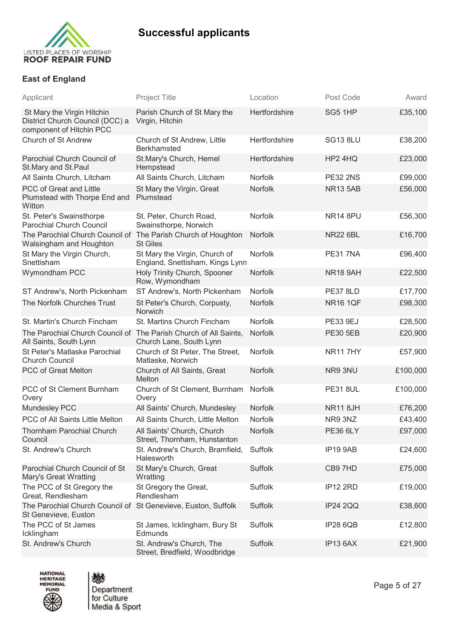

### **East of England**

| Applicant                                                                                  | <b>Project Title</b>                                             | Location       | Post Code       | Award    |
|--------------------------------------------------------------------------------------------|------------------------------------------------------------------|----------------|-----------------|----------|
| St Mary the Virgin Hitchin<br>District Church Council (DCC) a<br>component of Hitchin PCC  | Parish Church of St Mary the<br>Virgin, Hitchin                  | Hertfordshire  | SG5 1HP         | £35,100  |
| Church of St Andrew                                                                        | Church of St Andrew, Little<br><b>Berkhamsted</b>                | Hertfordshire  | <b>SG13 8LU</b> | £38,200  |
| Parochial Church Council of<br>St.Mary and St.Paul                                         | St.Mary's Church, Hemel<br>Hempstead                             | Hertfordshire  | HP2 4HQ         | £23,000  |
| All Saints Church, Litcham                                                                 | All Saints Church, Litcham                                       | Norfolk        | <b>PE32 2NS</b> | £99,000  |
| PCC of Great and Little<br>Plumstead with Thorpe End and<br>Witton                         | St Mary the Virgin, Great<br>Plumstead                           | Norfolk        | <b>NR13 5AB</b> | £56,000  |
| St. Peter's Swainsthorpe<br><b>Parochial Church Council</b>                                | St. Peter, Church Road,<br>Swainsthorpe, Norwich                 | Norfolk        | <b>NR14 8PU</b> | £56,300  |
| The Parochial Church Council of The Parish Church of Houghton<br>Walsingham and Houghton   | <b>St Giles</b>                                                  | Norfolk        | <b>NR22 6BL</b> | £16,700  |
| St Mary the Virgin Church,<br>Snettisham                                                   | St Mary the Virgin, Church of<br>England, Snettisham, Kings Lynn | Norfolk        | <b>PE31 7NA</b> | £96,400  |
| Wymondham PCC                                                                              | Holy Trinity Church, Spooner<br>Row, Wymondham                   | <b>Norfolk</b> | <b>NR18 9AH</b> | £22,500  |
| ST Andrew's, North Pickenham                                                               | ST Andrew's, North Pickenham                                     | Norfolk        | <b>PE37 8LD</b> | £17,700  |
| The Norfolk Churches Trust                                                                 | St Peter's Church, Corpusty,<br>Norwich                          | Norfolk        | <b>NR16 1QF</b> | £98,300  |
| St. Martin's Church Fincham                                                                | St. Martins Church Fincham                                       | Norfolk        | <b>PE33 9EJ</b> | £28,500  |
| The Parochial Church Council of The Parish Church of All Saints,<br>All Saints, South Lynn | Church Lane, South Lynn                                          | <b>Norfolk</b> | <b>PE30 5EB</b> | £20,900  |
| St Peter's Matlaske Parochial<br><b>Church Council</b>                                     | Church of St Peter, The Street,<br>Matlaske, Norwich             | <b>Norfolk</b> | <b>NR117HY</b>  | £57,900  |
| PCC of Great Melton                                                                        | Church of All Saints, Great<br>Melton                            | <b>Norfolk</b> | NR9 3NU         | £100,000 |
| PCC of St Clement Burnham<br>Overy                                                         | Church of St Clement, Burnham<br>Overy                           | Norfolk        | <b>PE31 8UL</b> | £100,000 |
| Mundesley PCC                                                                              | All Saints' Church, Mundesley                                    | Norfolk        | <b>NR11 8JH</b> | £76,200  |
| PCC of All Saints Little Melton                                                            | All Saints Church, Little Melton                                 | Norfolk        | NR9 3NZ         | £43,400  |
| <b>Thornham Parochial Church</b><br>Council                                                | All Saints' Church, Church<br>Street, Thornham, Hunstanton       | Norfolk        | <b>PE36 6LY</b> | £97,000  |
| St. Andrew's Church                                                                        | St. Andrew's Church, Bramfield,<br>Halesworth                    | Suffolk        | IP19 9AB        | £24,600  |
| Parochial Church Council of St<br><b>Mary's Great Wratting</b>                             | St Mary's Church, Great<br>Wratting                              | Suffolk        | CB97HD          | £75,000  |
| The PCC of St Gregory the<br>Great, Rendlesham                                             | St Gregory the Great,<br>Rendlesham                              | Suffolk        | <b>IP12 2RD</b> | £19,000  |
| The Parochial Church Council of St Genevieve, Euston, Suffolk<br>St Genevieve, Euston      |                                                                  | Suffolk        | <b>IP24 2QQ</b> | £38,600  |
| The PCC of St James<br>Icklingham                                                          | St James, Icklingham, Bury St<br>Edmunds                         | Suffolk        | <b>IP28 6QB</b> | £12,800  |
| St. Andrew's Church                                                                        | St. Andrew's Church, The<br>Street, Bredfield, Woodbridge        | Suffolk        | IP13 6AX        | £21,900  |



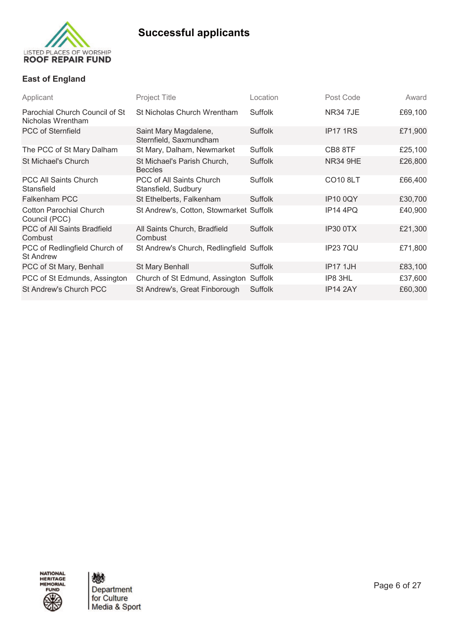

### **East of England**

| Applicant                                           | Project Title                                   | Location       | Post Code       | Award   |
|-----------------------------------------------------|-------------------------------------------------|----------------|-----------------|---------|
| Parochial Church Council of St<br>Nicholas Wrentham | St Nicholas Church Wrentham                     | Suffolk        | <b>NR34 7JE</b> | £69,100 |
| <b>PCC of Sternfield</b>                            | Saint Mary Magdalene,<br>Sternfield, Saxmundham | Suffolk        | IP17 1RS        | £71,900 |
| The PCC of St Mary Dalham                           | St Mary, Dalham, Newmarket                      | Suffolk        | CB8 8TF         | £25,100 |
| St Michael's Church                                 | St Michael's Parish Church,<br><b>Beccles</b>   | Suffolk        | <b>NR34 9HE</b> | £26,800 |
| <b>PCC All Saints Church</b><br>Stansfield          | PCC of All Saints Church<br>Stansfield, Sudbury | Suffolk        | <b>CO10 8LT</b> | £66,400 |
| <b>Falkenham PCC</b>                                | St Ethelberts, Falkenham                        | Suffolk        | <b>IP10 0QY</b> | £30,700 |
| <b>Cotton Parochial Church</b><br>Council (PCC)     | St Andrew's, Cotton, Stowmarket Suffolk         |                | IP14 4PQ        | £40,900 |
| PCC of All Saints Bradfield<br>Combust              | All Saints Church, Bradfield<br>Combust         | Suffolk        | IP30 0TX        | £21,300 |
| PCC of Redlingfield Church of<br><b>St Andrew</b>   | St Andrew's Church, Redlingfield Suffolk        |                | <b>IP237QU</b>  | £71,800 |
| PCC of St Mary, Benhall                             | St Mary Benhall                                 | <b>Suffolk</b> | <b>IP17 1JH</b> | £83,100 |
| PCC of St Edmunds, Assington                        | Church of St Edmund, Assington                  | Suffolk        | IP8 3HL         | £37,600 |
| St Andrew's Church PCC                              | St Andrew's, Great Finborough                   | Suffolk        | IP14 2AY        | £60,300 |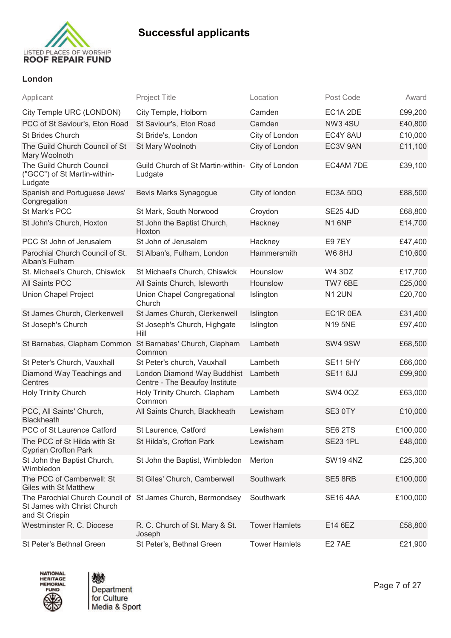

### **London**

| Applicant                                                                                                    | <b>Project Title</b>                                          | Location             | Post Code       | Award    |
|--------------------------------------------------------------------------------------------------------------|---------------------------------------------------------------|----------------------|-----------------|----------|
| City Temple URC (LONDON)                                                                                     | City Temple, Holborn                                          | Camden               | EC1A 2DE        | £99,200  |
| PCC of St Saviour's, Eton Road                                                                               | St Saviour's, Eton Road                                       | Camden               | <b>NW3 4SU</b>  | £40,800  |
| St Brides Church                                                                                             | St Bride's, London                                            | City of London       | EC4Y 8AU        | £10,000  |
| The Guild Church Council of St<br>Mary Woolnoth                                                              | St Mary Woolnoth                                              | City of London       | EC3V 9AN        | £11,100  |
| The Guild Church Council<br>("GCC") of St Martin-within-<br>Ludgate                                          | Guild Church of St Martin-within- City of London<br>Ludgate   |                      | EC4AM 7DE       | £39,100  |
| Spanish and Portuguese Jews'<br>Congregation                                                                 | Bevis Marks Synagogue                                         | City of london       | EC3A 5DQ        | £88,500  |
| St Mark's PCC                                                                                                | St Mark, South Norwood                                        | Croydon              | <b>SE25 4JD</b> | £68,800  |
| St John's Church, Hoxton                                                                                     | St John the Baptist Church,<br>Hoxton                         | Hackney              | N16NP           | £14,700  |
| PCC St John of Jerusalem                                                                                     | St John of Jerusalem                                          | Hackney              | E9 7EY          | £47,400  |
| Parochial Church Council of St.<br>Alban's Fulham                                                            | St Alban's, Fulham, London                                    | Hammersmith          | <b>W6 8HJ</b>   | £10,600  |
| St. Michael's Church, Chiswick                                                                               | St Michael's Church, Chiswick                                 | Hounslow             | <b>W4 3DZ</b>   | £17,700  |
| <b>All Saints PCC</b>                                                                                        | All Saints Church, Isleworth                                  | Hounslow             | TW7 6BE         | £25,000  |
| <b>Union Chapel Project</b>                                                                                  | Union Chapel Congregational<br>Church                         | Islington            | <b>N1 2UN</b>   | £20,700  |
| St James Church, Clerkenwell                                                                                 | St James Church, Clerkenwell                                  | Islington            | EC1R 0EA        | £31,400  |
| St Joseph's Church                                                                                           | St Joseph's Church, Highgate<br>Hill                          | Islington            | <b>N19 5NE</b>  | £97,400  |
| St Barnabas, Clapham Common                                                                                  | St Barnabas' Church, Clapham<br>Common                        | Lambeth              | SW4 9SW         | £68,500  |
| St Peter's Church, Vauxhall                                                                                  | St Peter's church, Vauxhall                                   | Lambeth              | <b>SE11 5HY</b> | £66,000  |
| Diamond Way Teachings and<br>Centres                                                                         | London Diamond Way Buddhist<br>Centre - The Beaufoy Institute | Lambeth              | <b>SE11 6JJ</b> | £99,900  |
| Holy Trinity Church                                                                                          | Holy Trinity Church, Clapham<br>Common                        | Lambeth              | <b>SW4 0QZ</b>  | £63,000  |
| PCC, All Saints' Church,<br><b>Blackheath</b>                                                                | All Saints Church, Blackheath                                 | Lewisham             | SE3 0TY         | £10,000  |
| PCC of St Laurence Catford                                                                                   | St Laurence, Catford                                          | Lewisham             | SE6 2TS         | £100,000 |
| The PCC of St Hilda with St<br><b>Cyprian Crofton Park</b>                                                   | St Hilda's, Crofton Park                                      | Lewisham             | <b>SE23 1PL</b> | £48,000  |
| St John the Baptist Church,<br>Wimbledon                                                                     | St John the Baptist, Wimbledon                                | Merton               | <b>SW194NZ</b>  | £25,300  |
| The PCC of Camberwell: St<br><b>Giles with St Matthew</b>                                                    | St Giles' Church, Camberwell                                  | Southwark            | SE5 8RB         | £100,000 |
| The Parochial Church Council of St James Church, Bermondsey<br>St James with Christ Church<br>and St Crispin |                                                               | Southwark            | <b>SE16 4AA</b> | £100,000 |
| Westminster R. C. Diocese                                                                                    | R. C. Church of St. Mary & St.<br>Joseph                      | <b>Tower Hamlets</b> | E14 6EZ         | £58,800  |
| St Peter's Bethnal Green                                                                                     | St Peter's, Bethnal Green                                     | <b>Tower Hamlets</b> | <b>E27AE</b>    | £21,900  |



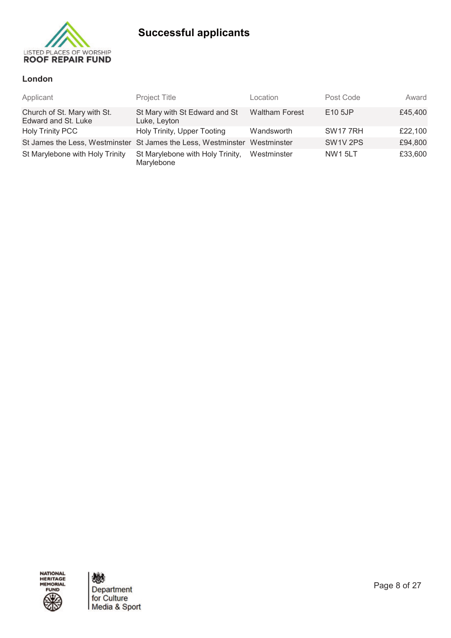

### **London**

| Applicant                                          | Project Title                                                             | Location              | Post Code            | Award   |
|----------------------------------------------------|---------------------------------------------------------------------------|-----------------------|----------------------|---------|
| Church of St. Mary with St.<br>Edward and St. Luke | St Mary with St Edward and St<br>Luke, Leyton                             | <b>Waltham Forest</b> | E <sub>10</sub> 5JP  | £45,400 |
| <b>Holy Trinity PCC</b>                            | Holy Trinity, Upper Tooting                                               | Wandsworth            | <b>SW1777RH</b>      | £22,100 |
|                                                    | St James the Less, Westminster St James the Less, Westminster Westminster |                       | SW <sub>1V</sub> 2PS | £94,800 |
| St Marylebone with Holy Trinity                    | St Marylebone with Holy Trinity,<br>Marylebone                            | Westminster           | <b>NW1 5LT</b>       | £33,600 |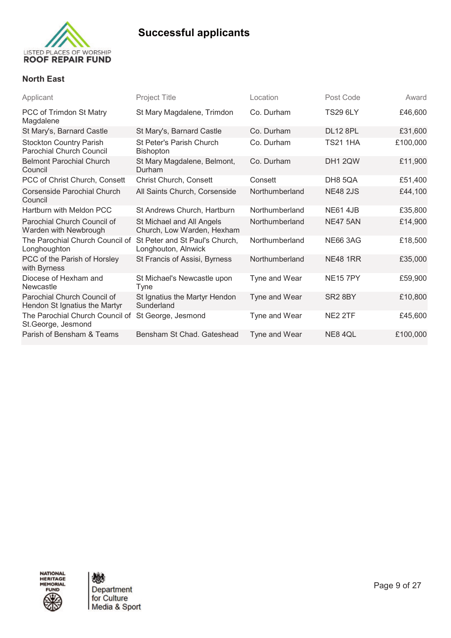

### **North East**

| Applicant                                                         | <b>Project Title</b>                                    | Location       | Post Code           | Award    |
|-------------------------------------------------------------------|---------------------------------------------------------|----------------|---------------------|----------|
| PCC of Trimdon St Matry<br>Magdalene                              | St Mary Magdalene, Trimdon                              | Co. Durham     | <b>TS29 6LY</b>     | £46,600  |
| St Mary's, Barnard Castle                                         | St Mary's, Barnard Castle                               | Co. Durham     | <b>DL12 8PL</b>     | £31,600  |
| <b>Stockton Country Parish</b><br><b>Parochial Church Council</b> | St Peter's Parish Church<br><b>Bishopton</b>            | Co. Durham     | <b>TS21 1HA</b>     | £100,000 |
| <b>Belmont Parochial Church</b><br>Council                        | St Mary Magdalene, Belmont,<br>Durham                   | Co. Durham     | DH1 2QW             | £11,900  |
| PCC of Christ Church, Consett                                     | Christ Church, Consett                                  | Consett        | DH8 5QA             | £51,400  |
| Corsenside Parochial Church<br>Council                            | All Saints Church, Corsenside                           | Northumberland | <b>NE48 2JS</b>     | £44,100  |
| Hartburn with Meldon PCC                                          | St Andrews Church, Hartburn                             | Northumberland | <b>NE61 4JB</b>     | £35,800  |
| Parochial Church Council of<br>Warden with Newbrough              | St Michael and All Angels<br>Church, Low Warden, Hexham | Northumberland | <b>NE47 5AN</b>     | £14,900  |
| The Parochial Church Council of<br>Longhoughton                   | St Peter and St Paul's Church,<br>Longhouton, Alnwick   | Northumberland | <b>NE66 3AG</b>     | £18,500  |
| PCC of the Parish of Horsley<br>with Byrness                      | St Francis of Assisi, Byrness                           | Northumberland | <b>NE48 1RR</b>     | £35,000  |
| Diocese of Hexham and<br><b>Newcastle</b>                         | St Michael's Newcastle upon<br>Tyne                     | Tyne and Wear  | <b>NE157PY</b>      | £59,900  |
| Parochial Church Council of<br>Hendon St Ignatius the Martyr      | St Ignatius the Martyr Hendon<br>Sunderland             | Tyne and Wear  | SR <sub>2</sub> 8BY | £10,800  |
| The Parochial Church Council of<br>St.George, Jesmond             | St George, Jesmond                                      | Tyne and Wear  | NE2 2TF             | £45,600  |
| Parish of Bensham & Teams                                         | Bensham St Chad. Gateshead                              | Tyne and Wear  | NE84QL              | £100,000 |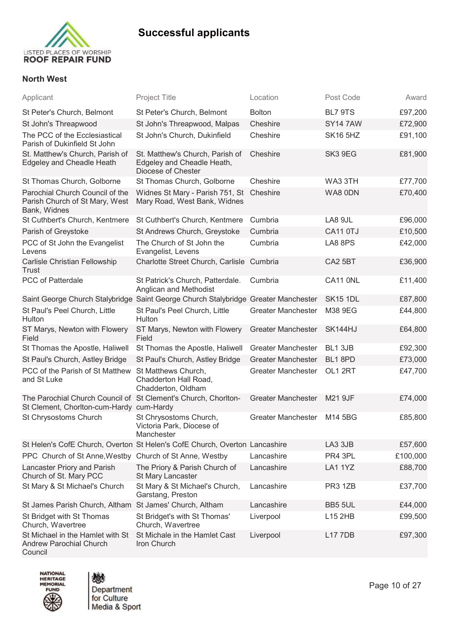

### **North West**

| Applicant                                                                                                  | <b>Project Title</b>                                                                | Location                  | Post Code       | Award    |
|------------------------------------------------------------------------------------------------------------|-------------------------------------------------------------------------------------|---------------------------|-----------------|----------|
| St Peter's Church, Belmont                                                                                 | St Peter's Church, Belmont                                                          | <b>Bolton</b>             | BL7 9TS         | £97,200  |
| St John's Threapwood                                                                                       | St John's Threapwood, Malpas                                                        | Cheshire                  | <b>SY147AW</b>  | £72,900  |
| The PCC of the Ecclesiastical<br>Parish of Dukinfield St John                                              | St John's Church, Dukinfield                                                        | Cheshire                  | <b>SK16 5HZ</b> | £91,100  |
| St. Matthew's Church, Parish of<br>Edgeley and Cheadle Heath                                               | St. Matthew's Church, Parish of<br>Edgeley and Cheadle Heath,<br>Diocese of Chester | Cheshire                  | SK3 9EG         | £81,900  |
| St Thomas Church, Golborne                                                                                 | St Thomas Church, Golborne                                                          | Cheshire                  | WA3 3TH         | £77,700  |
| Parochial Church Council of the<br>Parish Church of St Mary, West<br>Bank, Widnes                          | Widnes St Mary - Parish 751, St Cheshire<br>Mary Road, West Bank, Widnes            |                           | WA8 0DN         | £70,400  |
| St Cuthbert's Church, Kentmere                                                                             | St Cuthbert's Church, Kentmere                                                      | Cumbria                   | LA8 9JL         | £96,000  |
| Parish of Greystoke                                                                                        | St Andrews Church, Greystoke                                                        | Cumbria                   | <b>CA11 0TJ</b> | £10,500  |
| PCC of St John the Evangelist<br>Levens                                                                    | The Church of St John the<br>Evangelist, Levens                                     | Cumbria                   | LA8 8PS         | £42,000  |
| Carlisle Christian Fellowship<br><b>Trust</b>                                                              | Charlotte Street Church, Carlisle Cumbria                                           |                           | CA2 5BT         | £36,900  |
| PCC of Patterdale                                                                                          | St Patrick's Church, Patterdale.<br>Anglican and Methodist                          | Cumbria                   | CA11 ONL        | £11,400  |
|                                                                                                            | Saint George Church Stalybridge Saint George Church Stalybridge Greater Manchester  |                           | <b>SK15 1DL</b> | £87,800  |
| St Paul's Peel Church, Little<br>Hulton                                                                    | St Paul's Peel Church, Little<br>Hulton                                             | <b>Greater Manchester</b> | M38 9EG         | £44,800  |
| ST Marys, Newton with Flowery<br>Field                                                                     | ST Marys, Newton with Flowery<br>Field                                              | <b>Greater Manchester</b> | SK144HJ         | £64,800  |
| St Thomas the Apostle, Haliwell                                                                            | St Thomas the Apostle, Haliwell                                                     | <b>Greater Manchester</b> | BL1 3JB         | £92,300  |
| St Paul's Church, Astley Bridge                                                                            | St Paul's Church, Astley Bridge                                                     | <b>Greater Manchester</b> | BL1 8PD         | £73,000  |
| PCC of the Parish of St Matthew<br>and St Luke                                                             | St Matthews Church,<br>Chadderton Hall Road,<br>Chadderton, Oldham                  | <b>Greater Manchester</b> | OL1 2RT         | £47,700  |
| The Parochial Church Council of St Clement's Church, Chorlton-<br>St Clement, Chorlton-cum-Hardy cum-Hardy |                                                                                     | <b>Greater Manchester</b> | <b>M21 9JF</b>  | £74,000  |
| St Chrysostoms Church                                                                                      | St Chrysostoms Church,<br>Victoria Park, Diocese of<br>Manchester                   | <b>Greater Manchester</b> | M14 5BG         | £85,800  |
|                                                                                                            | St Helen's CofE Church, Overton St Helen's CofE Church, Overton Lancashire          |                           | LA3 3JB         | £57,600  |
| PPC Church of St Anne, Westby Church of St Anne, Westby                                                    |                                                                                     | Lancashire                | PR4 3PL         | £100,000 |
| Lancaster Priory and Parish<br>Church of St. Mary PCC                                                      | The Priory & Parish Church of<br>St Mary Lancaster                                  | Lancashire                | LA1 1YZ         | £88,700  |
| St Mary & St Michael's Church                                                                              | St Mary & St Michael's Church,<br>Garstang, Preston                                 | Lancashire                | PR3 1ZB         | £37,700  |
| St James Parish Church, Altham St James' Church, Altham                                                    |                                                                                     | Lancashire                | BB5 5UL         | £44,000  |
| St Bridget with St Thomas<br>Church, Wavertree                                                             | St Bridget's with St Thomas'<br>Church, Wavertree                                   | Liverpool                 | L15 2HB         | £99,500  |
| St Michael in the Hamlet with St<br><b>Andrew Parochial Church</b><br>Council                              | St Michale in the Hamlet Cast<br>Iron Church                                        | Liverpool                 | <b>L177DB</b>   | £97,300  |



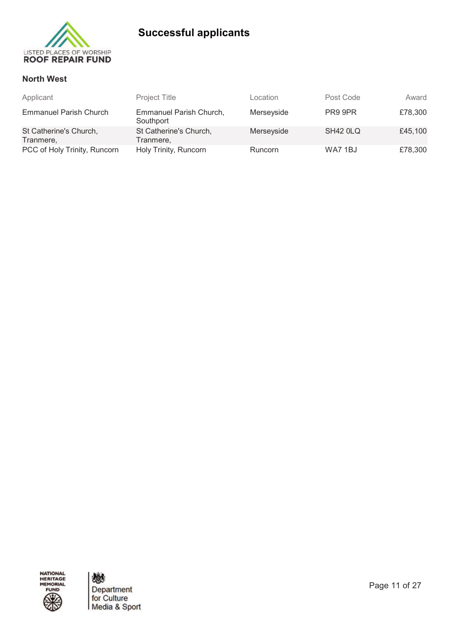

### **North West**

| Applicant                           | <b>Project Title</b>                 | Location       | Post Code | Award   |
|-------------------------------------|--------------------------------------|----------------|-----------|---------|
| <b>Emmanuel Parish Church</b>       | Emmanuel Parish Church,<br>Southport | Merseyside     | PR9 9PR   | £78,300 |
| St Catherine's Church,<br>Tranmere, | St Catherine's Church,<br>Tranmere,  | Merseyside     | SH42 OLQ  | £45,100 |
| PCC of Holy Trinity, Runcorn        | Holy Trinity, Runcorn                | <b>Runcorn</b> | WA7 1BJ   | £78,300 |

NATIONAL<br>HERITAGE<br>MEMORIAL FUND

戀 Department<br>for Culture<br>Media & Sport

Page 11 of 27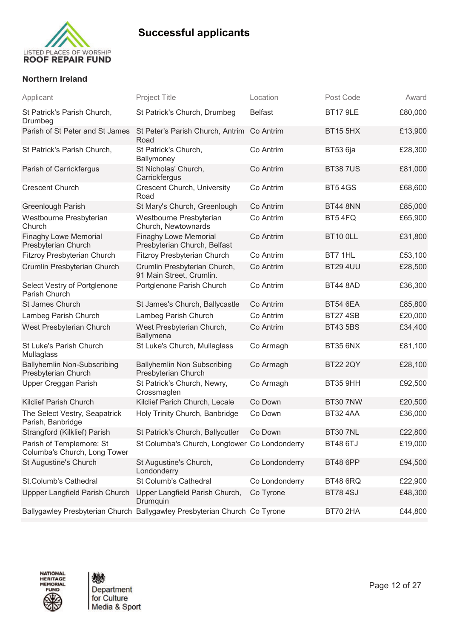

### **Northern Ireland**

| Applicant                                                 | <b>Project Title</b>                                                      | Location       | Post Code       | Award   |
|-----------------------------------------------------------|---------------------------------------------------------------------------|----------------|-----------------|---------|
| St Patrick's Parish Church,<br>Drumbeg                    | St Patrick's Church, Drumbeg                                              | <b>Belfast</b> | <b>BT17 9LE</b> | £80,000 |
| Parish of St Peter and St James                           | St Peter's Parish Church, Antrim Co Antrim<br>Road                        |                | <b>BT15 5HX</b> | £13,900 |
| St Patrick's Parish Church,                               | St Patrick's Church,<br>Ballymoney                                        | Co Antrim      | <b>BT53 6ja</b> | £28,300 |
| Parish of Carrickfergus                                   | St Nicholas' Church,<br>Carrickfergus                                     | Co Antrim      | <b>BT387US</b>  | £81,000 |
| <b>Crescent Church</b>                                    | <b>Crescent Church, University</b><br>Road                                | Co Antrim      | <b>BT54GS</b>   | £68,600 |
| <b>Greenlough Parish</b>                                  | St Mary's Church, Greenlough                                              | Co Antrim      | <b>BT44 8NN</b> | £85,000 |
| Westbourne Presbyterian<br>Church                         | Westbourne Presbyterian<br>Church, Newtownards                            | Co Antrim      | BT54FQ          | £65,900 |
| <b>Finaghy Lowe Memorial</b><br>Presbyterian Church       | <b>Finaghy Lowe Memorial</b><br>Presbyterian Church, Belfast              | Co Antrim      | <b>BT10 OLL</b> | £31,800 |
| Fitzroy Presbyterian Church                               | <b>Fitzroy Presbyterian Church</b>                                        | Co Antrim      | BT7 1HL         | £53,100 |
| Crumlin Presbyterian Church                               | Crumlin Presbyterian Church,<br>91 Main Street, Crumlin.                  | Co Antrim      | <b>BT29 4UU</b> | £28,500 |
| Select Vestry of Portglenone<br>Parish Church             | Portglenone Parish Church                                                 | Co Antrim      | <b>BT44 8AD</b> | £36,300 |
| St James Church                                           | St James's Church, Ballycastle                                            | Co Antrim      | <b>BT54 6EA</b> | £85,800 |
| Lambeg Parish Church                                      | Lambeg Parish Church                                                      | Co Antrim      | <b>BT27 4SB</b> | £20,000 |
| West Presbyterian Church                                  | West Presbyterian Church,<br><b>Ballymena</b>                             | Co Antrim      | <b>BT43 5BS</b> | £34,400 |
| St Luke's Parish Church<br>Mullaglass                     | St Luke's Church, Mullaglass                                              | Co Armagh      | <b>BT35 6NX</b> | £81,100 |
| <b>Ballyhemlin Non-Subscribing</b><br>Presbyterian Church | <b>Ballyhemlin Non Subscribing</b><br>Presbyterian Church                 | Co Armagh      | <b>BT22 2QY</b> | £28,100 |
| Upper Creggan Parish                                      | St Patrick's Church, Newry,<br>Crossmaglen                                | Co Armagh      | BT35 9HH        | £92,500 |
| <b>Kilclief Parish Church</b>                             | Kilclief Parich Church, Lecale                                            | Co Down        | <b>BT30 7NW</b> | £20,500 |
| The Select Vestry, Seapatrick<br>Parish, Banbridge        | Holy Trinity Church, Banbridge                                            | Co Down        | <b>BT32 4AA</b> | £36,000 |
| Strangford (Kilklief) Parish                              | St Patrick's Church, Ballycutler                                          | Co Down        | <b>BT30 7NL</b> | £22,800 |
| Parish of Templemore: St<br>Columba's Church, Long Tower  | St Columba's Church, Longtower Co Londonderry                             |                | <b>BT48 6TJ</b> | £19,000 |
| St Augustine's Church                                     | St Augustine's Church,<br>Londonderry                                     | Co Londonderry | <b>BT48 6PP</b> | £94,500 |
| St.Columb's Cathedral                                     | St Columb's Cathedral                                                     | Co Londonderry | <b>BT48 6RQ</b> | £22,900 |
| Uppper Langfield Parish Church                            | Upper Langfield Parish Church,<br>Drumquin                                | Co Tyrone      | <b>BT784SJ</b>  | £48,300 |
|                                                           | Ballygawley Presbyterian Church Ballygawley Presbyterian Church Co Tyrone |                | BT70 2HA        | £44,800 |
|                                                           |                                                                           |                |                 |         |

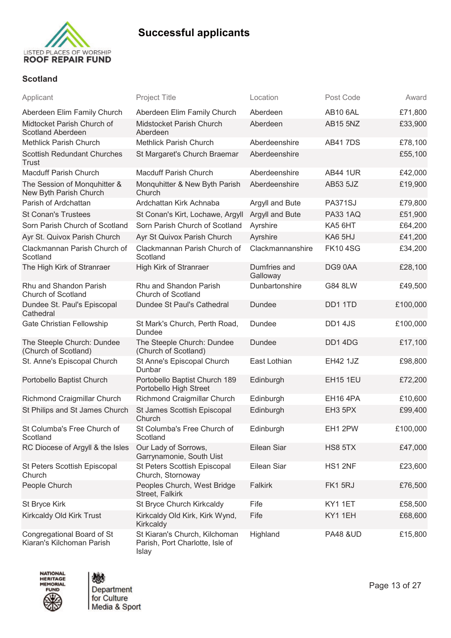

### **Scotland**

| Applicant                                               | <b>Project Title</b>                                                      | Location                 | Post Code           | Award    |
|---------------------------------------------------------|---------------------------------------------------------------------------|--------------------------|---------------------|----------|
| Aberdeen Elim Family Church                             | Aberdeen Elim Family Church                                               | Aberdeen                 | AB10 6AL            | £71,800  |
| Midtocket Parish Church of<br><b>Scotland Aberdeen</b>  | Midstocket Parish Church<br>Aberdeen                                      | Aberdeen                 | <b>AB15 5NZ</b>     | £33,900  |
| <b>Methlick Parish Church</b>                           | <b>Methlick Parish Church</b>                                             | Aberdeenshire            | <b>AB417DS</b>      | £78,100  |
| <b>Scottish Redundant Churches</b><br>Trust             | St Margaret's Church Braemar                                              | Aberdeenshire            |                     | £55,100  |
| <b>Macduff Parish Church</b>                            | <b>Macduff Parish Church</b>                                              | Aberdeenshire            | <b>AB44 1UR</b>     | £42,000  |
| The Session of Monquhitter &<br>New Byth Parish Church  | Monquhitter & New Byth Parish<br>Church                                   | Aberdeenshire            | AB53 5JZ            | £19,900  |
| Parish of Ardchattan                                    | Ardchattan Kirk Achnaba                                                   | Argyll and Bute          | <b>PA371SJ</b>      | £79,800  |
| <b>St Conan's Trustees</b>                              | St Conan's Kirt, Lochawe, Argyll                                          | Argyll and Bute          | <b>PA33 1AQ</b>     | £51,900  |
| Sorn Parish Church of Scotland                          | Sorn Parish Church of Scotland                                            | Ayrshire                 | KA5 6HT             | £64,200  |
| Ayr St. Quivox Parish Church                            | Ayr St Quivox Parish Church                                               | Ayrshire                 | KA6 5HJ             | £41,200  |
| Clackmannan Parish Church of<br>Scotland                | Clackmannan Parish Church of<br>Scotland                                  | Clackmannanshire         | <b>FK104SG</b>      | £34,200  |
| The High Kirk of Stranraer                              | High Kirk of Stranraer                                                    | Dumfries and<br>Galloway | DG9 0AA             | £28,100  |
| Rhu and Shandon Parish<br><b>Church of Scotland</b>     | Rhu and Shandon Parish<br>Church of Scotland                              | Dunbartonshire           | G84 8LW             | £49,500  |
| Dundee St. Paul's Episcopal<br>Cathedral                | Dundee St Paul's Cathedral                                                | <b>Dundee</b>            | DD11TD              | £100,000 |
| Gate Christian Fellowship                               | St Mark's Church, Perth Road,<br><b>Dundee</b>                            | Dundee                   | DD14JS              | £100,000 |
| The Steeple Church: Dundee<br>(Church of Scotland)      | The Steeple Church: Dundee<br>(Church of Scotland)                        | <b>Dundee</b>            | DD14DG              | £17,100  |
| St. Anne's Episcopal Church                             | St Anne's Episcopal Church<br>Dunbar                                      | East Lothian             | <b>EH42 1JZ</b>     | £98,800  |
| Portobello Baptist Church                               | Portobello Baptist Church 189<br>Portobello High Street                   | Edinburgh                | <b>EH15 1EU</b>     | £72,200  |
| Richmond Craigmillar Church                             | Richmond Craigmillar Church                                               | Edinburgh                | <b>EH16 4PA</b>     | £10,600  |
| St Philips and St James Church                          | St James Scottish Episcopal<br>Church                                     | Edinburgh                | EH3 5PX             | £99,400  |
| St Columba's Free Church of<br>Scotland                 | St Columba's Free Church of<br>Scotland                                   | Edinburgh                | EH1 2PW             | £100,000 |
| RC Diocese of Argyll & the Isles                        | Our Lady of Sorrows,<br>Garrynamonie, South Uist                          | Eilean Siar              | HS8 5TX             | £47,000  |
| St Peters Scottish Episcopal<br>Church                  | St Peters Scottish Episcopal<br>Church, Stornoway                         | Eilean Siar              | HS1 2NF             | £23,600  |
| People Church                                           | Peoples Church, West Bridge<br>Street, Falkirk                            | <b>Falkirk</b>           | FK1 5RJ             | £76,500  |
| St Bryce Kirk                                           | St Bryce Church Kirkcaldy                                                 | Fife                     | KY11ET              | £58,500  |
| Kirkcaldy Old Kirk Trust                                | Kirkcaldy Old Kirk, Kirk Wynd,<br>Kirkcaldy                               | Fife                     | KY11EH              | £68,600  |
| Congregational Board of St<br>Kiaran's Kilchoman Parish | St Kiaran's Church, Kilchoman<br>Parish, Port Charlotte, Isle of<br>Islay | Highland                 | <b>PA48 &amp;UD</b> | £15,800  |



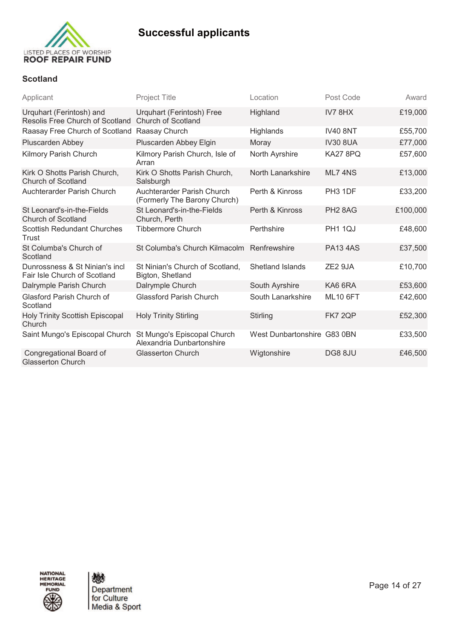

### **Scotland**

| Applicant                                                      | <b>Project Title</b>                                       | Location                    | Post Code           | Award    |
|----------------------------------------------------------------|------------------------------------------------------------|-----------------------------|---------------------|----------|
| Urquhart (Ferintosh) and<br>Resolis Free Church of Scotland    | Urquhart (Ferintosh) Free<br><b>Church of Scotland</b>     | Highland                    | IV78HX              | £19,000  |
| Raasay Free Church of Scotland                                 | Raasay Church                                              | Highlands                   | <b>IV40 8NT</b>     | £55,700  |
| Pluscarden Abbey                                               | Pluscarden Abbey Elgin                                     | Moray                       | <b>IV30 8UA</b>     | £77,000  |
| Kilmory Parish Church                                          | Kilmory Parish Church, Isle of<br>Arran                    | North Ayrshire              | KA27 8PQ            | £57,600  |
| Kirk O Shotts Parish Church,<br><b>Church of Scotland</b>      | Kirk O Shotts Parish Church,<br>Salsburgh                  | North Lanarkshire           | ML7 4NS             | £13,000  |
| Auchterarder Parish Church                                     | Auchterarder Parish Church<br>(Formerly The Barony Church) | Perth & Kinross             | PH <sub>3</sub> 1DF | £33,200  |
| St Leonard's-in-the-Fields<br><b>Church of Scotland</b>        | St Leonard's-in-the-Fields<br>Church, Perth                | Perth & Kinross             | PH <sub>2</sub> 8AG | £100,000 |
| <b>Scottish Redundant Churches</b><br>Trust                    | <b>Tibbermore Church</b>                                   | Perthshire                  | <b>PH1 1QJ</b>      | £48,600  |
| St Columba's Church of<br>Scotland                             | St Columba's Church Kilmacolm Renfrewshire                 |                             | <b>PA13 4AS</b>     | £37,500  |
| Dunrossness & St Ninian's incl<br>Fair Isle Church of Scotland | St Ninian's Church of Scotland,<br>Bigton, Shetland        | <b>Shetland Islands</b>     | ZE <sub>2</sub> 9JA | £10,700  |
| Dalrymple Parish Church                                        | Dalrymple Church                                           | South Ayrshire              | KA6 6RA             | £53,600  |
| <b>Glasford Parish Church of</b><br>Scotland                   | <b>Glassford Parish Church</b>                             | South Lanarkshire           | <b>ML10 6FT</b>     | £42,600  |
| <b>Holy Trinity Scottish Episcopal</b><br>Church               | <b>Holy Trinity Stirling</b>                               | Stirling                    | FK7 2QP             | £52,300  |
| Saint Mungo's Episcopal Church                                 | St Mungo's Episcopal Church<br>Alexandria Dunbartonshire   | West Dunbartonshire G83 0BN |                     | £33,500  |
| Congregational Board of<br><b>Glasserton Church</b>            | <b>Glasserton Church</b>                                   | Wigtonshire                 | DG8 8JU             | £46,500  |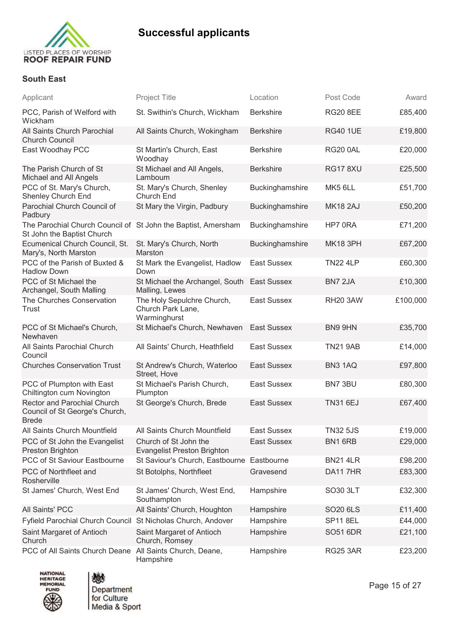

### **South East**

| Applicant                                                                                   | <b>Project Title</b>                                            | Location           | Post Code       | Award    |
|---------------------------------------------------------------------------------------------|-----------------------------------------------------------------|--------------------|-----------------|----------|
| PCC, Parish of Welford with<br>Wickham                                                      | St. Swithin's Church, Wickham                                   | <b>Berkshire</b>   | <b>RG20 8EE</b> | £85,400  |
| All Saints Church Parochial<br><b>Church Council</b>                                        | All Saints Church, Wokingham                                    | <b>Berkshire</b>   | <b>RG40 1UE</b> | £19,800  |
| East Woodhay PCC                                                                            | St Martin's Church, East<br>Woodhay                             | <b>Berkshire</b>   | RG200AL         | £20,000  |
| The Parish Church of St<br>Michael and All Angels                                           | St Michael and All Angels,<br>Lamboum                           | <b>Berkshire</b>   | <b>RG17 8XU</b> | £25,500  |
| PCC of St. Mary's Church,<br>Shenley Church End                                             | St. Mary's Church, Shenley<br>Church End                        | Buckinghamshire    | MK5 6LL         | £51,700  |
| Parochial Church Council of<br>Padbury                                                      | St Mary the Virgin, Padbury                                     | Buckinghamshire    | <b>MK18 2AJ</b> | £50,200  |
| The Parochial Church Council of St John the Baptist, Amersham<br>St John the Baptist Church |                                                                 | Buckinghamshire    | HP7 0RA         | £71,200  |
| Ecumenical Church Council, St.<br>Mary's, North Marston                                     | St. Mary's Church, North<br>Marston                             | Buckinghamshire    | <b>MK18 3PH</b> | £67,200  |
| PCC of the Parish of Buxted &<br><b>Hadlow Down</b>                                         | St Mark the Evangelist, Hadlow<br>Down                          | <b>East Sussex</b> | <b>TN22 4LP</b> | £60,300  |
| PCC of St Michael the<br>Archangel, South Malling                                           | St Michael the Archangel, South<br>Malling, Lewes               | <b>East Sussex</b> | BN7 2JA         | £10,300  |
| The Churches Conservation<br>Trust                                                          | The Holy Sepulchre Church,<br>Church Park Lane,<br>Warminghurst | <b>East Sussex</b> | <b>RH20 3AW</b> | £100,000 |
| PCC of St Michael's Church,<br>Newhaven                                                     | St Michael's Church, Newhaven                                   | <b>East Sussex</b> | BN9 9HN         | £35,700  |
| All Saints Parochial Church<br>Council                                                      | All Saints' Church, Heathfield                                  | <b>East Sussex</b> | <b>TN21 9AB</b> | £14,000  |
| <b>Churches Conservation Trust</b>                                                          | St Andrew's Church, Waterloo<br>Street, Hove                    | <b>East Sussex</b> | BN3 1AQ         | £97,800  |
| PCC of Plumpton with East<br>Chiltington cum Novington                                      | St Michael's Parish Church,<br>Plumpton                         | <b>East Sussex</b> | BN7 3BU         | £80,300  |
| Rector and Parochial Church<br>Council of St George's Church,<br><b>Brede</b>               | St George's Church, Brede                                       | <b>East Sussex</b> | <b>TN31 6EJ</b> | £67,400  |
| All Saints Church Mountfield                                                                | All Saints Church Mountfield                                    | <b>East Sussex</b> | <b>TN32 5JS</b> | £19,000  |
| PCC of St John the Evangelist<br>Preston Brighton                                           | Church of St John the<br><b>Evangelist Preston Brighton</b>     | <b>East Sussex</b> | BN1 6RB         | £29,000  |
| PCC of St Saviour Eastbourne                                                                | St Saviour's Church, Eastbourne Eastbourne                      |                    | <b>BN21 4LR</b> | £98,200  |
| PCC of Northfleet and<br>Rosherville                                                        | St Botolphs, Northfleet                                         | Gravesend          | DA11 7HR        | £83,300  |
| St James' Church, West End                                                                  | St James' Church, West End,<br>Southampton                      | Hampshire          | SO30 3LT        | £32,300  |
| All Saints' PCC                                                                             | All Saints' Church, Houghton                                    | Hampshire          | SO20 6LS        | £11,400  |
| Fyfield Parochial Church Council St Nicholas Church, Andover                                |                                                                 | Hampshire          | <b>SP11 8EL</b> | £44,000  |
| Saint Margaret of Antioch<br>Church                                                         | Saint Margaret of Antioch<br>Church, Romsey                     | Hampshire          | SO51 6DR        | £21,100  |
| PCC of All Saints Church Deane All Saints Church, Deane,                                    | Hampshire                                                       | Hampshire          | <b>RG25 3AR</b> | £23,200  |





Page 15 of 27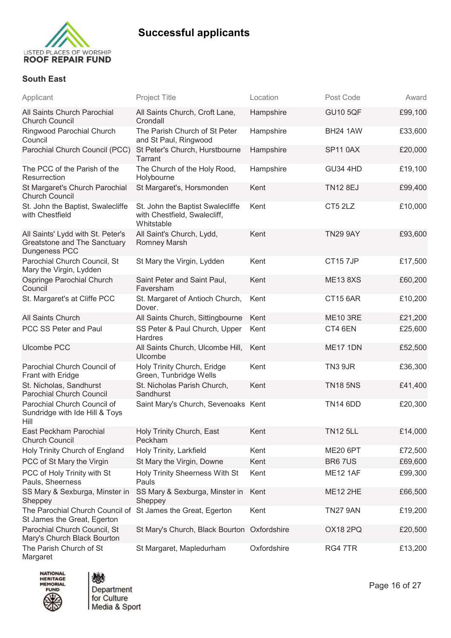

### **South East**

| Applicant                                                                          | <b>Project Title</b>                                                           | Location    | Post Code       | Award   |
|------------------------------------------------------------------------------------|--------------------------------------------------------------------------------|-------------|-----------------|---------|
| All Saints Church Parochial<br><b>Church Council</b>                               | All Saints Church, Croft Lane,<br>Crondall                                     | Hampshire   | <b>GU10 5QF</b> | £99,100 |
| Ringwood Parochial Church<br>Council                                               | The Parish Church of St Peter<br>and St Paul, Ringwood                         | Hampshire   | <b>BH24 1AW</b> | £33,600 |
| Parochial Church Council (PCC)                                                     | St Peter's Church, Hurstbourne<br><b>Tarrant</b>                               | Hampshire   | <b>SP11 0AX</b> | £20,000 |
| The PCC of the Parish of the<br>Resurrection                                       | The Church of the Holy Rood,<br>Holybourne                                     | Hampshire   | <b>GU34 4HD</b> | £19,100 |
| St Margaret's Church Parochial<br><b>Church Council</b>                            | St Margaret's, Horsmonden                                                      | Kent        | <b>TN12 8EJ</b> | £99,400 |
| St. John the Baptist, Swalecliffe<br>with Chestfield                               | St. John the Baptist Swalecliffe<br>with Chestfield, Swalecliff,<br>Whitstable | Kent        | CT5 2LZ         | £10,000 |
| All Saints' Lydd with St. Peter's<br>Greatstone and The Sanctuary<br>Dungeness PCC | All Saint's Church, Lydd,<br>Romney Marsh                                      | Kent        | <b>TN29 9AY</b> | £93,600 |
| Parochial Church Council, St<br>Mary the Virgin, Lydden                            | St Mary the Virgin, Lydden                                                     | Kent        | CT157JP         | £17,500 |
| Ospringe Parochial Church<br>Council                                               | Saint Peter and Saint Paul,<br>Faversham                                       | Kent        | <b>ME13 8XS</b> | £60,200 |
| St. Margaret's at Cliffe PCC                                                       | St. Margaret of Antioch Church,<br>Dover.                                      | Kent        | <b>CT15 6AR</b> | £10,200 |
| All Saints Church                                                                  | All Saints Church, Sittingbourne                                               | Kent        | <b>ME10 3RE</b> | £21,200 |
| PCC SS Peter and Paul                                                              | SS Peter & Paul Church, Upper<br>Hardres                                       | Kent        | CT4 6EN         | £25,600 |
| <b>Ulcombe PCC</b>                                                                 | All Saints Church, Ulcombe Hill,<br>Ulcombe                                    | Kent        | <b>ME17 1DN</b> | £52,500 |
| Parochial Church Council of<br>Frant with Eridge                                   | Holy Trinity Church, Eridge<br>Green, Tunbridge Wells                          | Kent        | TN3 9JR         | £36,300 |
| St. Nicholas, Sandhurst<br><b>Parochial Church Council</b>                         | St. Nicholas Parish Church,<br>Sandhurst                                       | Kent        | <b>TN18 5NS</b> | £41,400 |
| Parochial Church Council of<br>Sundridge with Ide Hill & Toys<br>Hill              | Saint Mary's Church, Sevenoaks Kent                                            |             | <b>TN14 6DD</b> | £20,300 |
| <b>East Peckham Parochial</b><br><b>Church Council</b>                             | Holy Trinity Church, East<br>Peckham                                           | Kent        | <b>TN12 5LL</b> | £14,000 |
| Holy Trinity Church of England                                                     | Holy Trinity, Larkfield                                                        | Kent        | <b>ME20 6PT</b> | £72,500 |
| PCC of St Mary the Virgin                                                          | St Mary the Virgin, Downe                                                      | Kent        | BR67US          | £69,600 |
| PCC of Holy Trinity with St<br>Pauls, Sheerness                                    | <b>Holy Trinity Sheerness With St</b><br>Pauls                                 | Kent        | <b>ME12 1AF</b> | £99,300 |
| SS Mary & Sexburga, Minster in<br>Sheppey                                          | SS Mary & Sexburga, Minster in<br>Sheppey                                      | Kent        | <b>ME12 2HE</b> | £66,500 |
| The Parochial Church Council of<br>St James the Great, Egerton                     | St James the Great, Egerton                                                    | Kent        | <b>TN27 9AN</b> | £19,200 |
| Parochial Church Council, St<br>Mary's Church Black Bourton                        | St Mary's Church, Black Bourton Oxfordshire                                    |             | <b>OX18 2PQ</b> | £20,500 |
| The Parish Church of St<br>Margaret                                                | St Margaret, Mapledurham                                                       | Oxfordshire | RG4 7TR         | £13,200 |





Page 16 of 27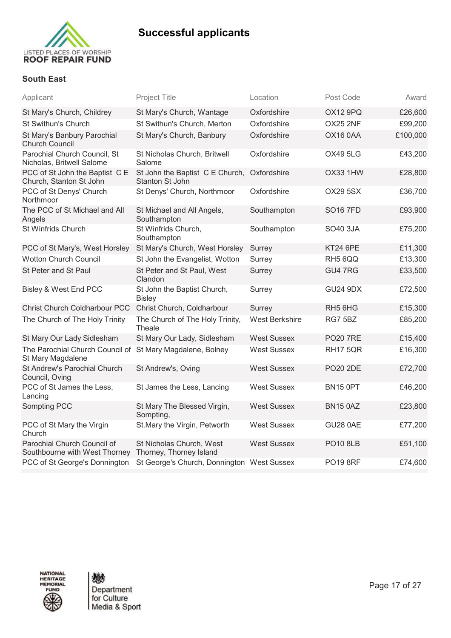

### **South East**

| Applicant                                                                      | <b>Project Title</b>                                           | Location              | Post Code       | Award    |
|--------------------------------------------------------------------------------|----------------------------------------------------------------|-----------------------|-----------------|----------|
| St Mary's Church, Childrey                                                     | St Mary's Church, Wantage                                      | Oxfordshire           | OX12 9PQ        | £26,600  |
| St Swithun's Church                                                            | St Swithun's Church, Merton                                    | Oxfordshire           | OX25 2NF        | £99,200  |
| St Mary's Banbury Parochial<br><b>Church Council</b>                           | St Mary's Church, Banbury                                      | Oxfordshire           | OX16 0AA        | £100,000 |
| Parochial Church Council, St<br>Nicholas, Britwell Salome                      | St Nicholas Church, Britwell<br>Salome                         | Oxfordshire           | <b>OX49 5LG</b> | £43,200  |
| PCC of St John the Baptist C E<br>Church, Stanton St John                      | St John the Baptist C E Church, Oxfordshire<br>Stanton St John |                       | OX33 1HW        | £28,800  |
| PCC of St Denys' Church<br>Northmoor                                           | St Denys' Church, Northmoor                                    | Oxfordshire           | <b>OX29 5SX</b> | £36,700  |
| The PCC of St Michael and All<br>Angels                                        | St Michael and All Angels,<br>Southampton                      | Southampton           | <b>SO16 7FD</b> | £93,900  |
| St Winfrids Church                                                             | St Winfrids Church,<br>Southampton                             | Southampton           | <b>SO40 3JA</b> | £75,200  |
| PCC of St Mary's, West Horsley                                                 | St Mary's Church, West Horsley                                 | Surrey                | <b>KT24 6PE</b> | £11,300  |
| <b>Wotton Church Council</b>                                                   | St John the Evangelist, Wotton                                 | Surrey                | RH5 6QQ         | £13,300  |
| St Peter and St Paul                                                           | St Peter and St Paul, West<br>Clandon                          | Surrey                | GU4 7RG         | £33,500  |
| Bisley & West End PCC                                                          | St John the Baptist Church,<br><b>Bisley</b>                   | Surrey                | <b>GU24 9DX</b> | £72,500  |
| Christ Church Coldharbour PCC                                                  | Christ Church, Coldharbour                                     | Surrey                | RH5 6HG         | £15,300  |
| The Church of The Holy Trinity                                                 | The Church of The Holy Trinity,<br>Theale                      | <b>West Berkshire</b> | RG7 5BZ         | £85,200  |
| St Mary Our Lady Sidlesham                                                     | St Mary Our Lady, Sidlesham                                    | <b>West Sussex</b>    | <b>PO20 7RE</b> | £15,400  |
| The Parochial Church Council of St Mary Magdalene, Bolney<br>St Mary Magdalene |                                                                | <b>West Sussex</b>    | <b>RH17 5QR</b> | £16,300  |
| St Andrew's Parochial Church<br>Council, Oving                                 | St Andrew's, Oving                                             | <b>West Sussex</b>    | <b>PO20 2DE</b> | £72,700  |
| PCC of St James the Less,<br>Lancing                                           | St James the Less, Lancing                                     | <b>West Sussex</b>    | BN15 0PT        | £46,200  |
| Sompting PCC                                                                   | St Mary The Blessed Virgin,<br>Sompting,                       | <b>West Sussex</b>    | <b>BN15 0AZ</b> | £23,800  |
| PCC of St Mary the Virgin<br>Church                                            | St. Mary the Virgin, Petworth                                  | <b>West Sussex</b>    | <b>GU28 0AE</b> | £77,200  |
| Parochial Church Council of<br>Southbourne with West Thorney                   | St Nicholas Church, West<br>Thorney, Thorney Island            | <b>West Sussex</b>    | <b>PO10 8LB</b> | £51,100  |
| PCC of St George's Donnington                                                  | St George's Church, Donnington West Sussex                     |                       | <b>PO19 8RF</b> | £74,600  |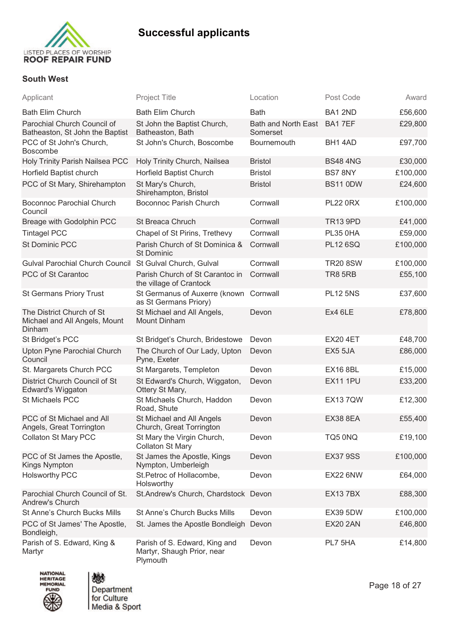

### **South West**

| Applicant                                                            | <b>Project Title</b>                                                    | Location                        | Post Code       | Award    |
|----------------------------------------------------------------------|-------------------------------------------------------------------------|---------------------------------|-----------------|----------|
| <b>Bath Elim Church</b>                                              | <b>Bath Elim Church</b>                                                 | <b>Bath</b>                     | BA1 2ND         | £56,600  |
| Parochial Church Council of<br>Batheaston, St John the Baptist       | St John the Baptist Church,<br>Batheaston, Bath                         | Bath and North East<br>Somerset | BA17EF          | £29,800  |
| PCC of St John's Church,<br>Boscombe                                 | St John's Church, Boscombe                                              | Bournemouth                     | BH14AD          | £97,700  |
| Holy Trinity Parish Nailsea PCC                                      | Holy Trinity Church, Nailsea                                            | <b>Bristol</b>                  | <b>BS48 4NG</b> | £30,000  |
| Horfield Baptist church                                              | Horfield Baptist Church                                                 | <b>Bristol</b>                  | BS7 8NY         | £100,000 |
| PCC of St Mary, Shirehampton                                         | St Mary's Church,<br>Shirehampton, Bristol                              | <b>Bristol</b>                  | <b>BS11 0DW</b> | £24,600  |
| <b>Boconnoc Parochial Church</b><br>Council                          | <b>Boconnoc Parish Church</b>                                           | Cornwall                        | <b>PL22 0RX</b> | £100,000 |
| Breage with Godolphin PCC                                            | St Breaca Chruch                                                        | Cornwall                        | <b>TR13 9PD</b> | £41,000  |
| <b>Tintagel PCC</b>                                                  | Chapel of St Pirins, Trethevy                                           | Cornwall                        | <b>PL35 0HA</b> | £59,000  |
| <b>St Dominic PCC</b>                                                | Parish Church of St Dominica &<br><b>St Dominic</b>                     | Cornwall                        | <b>PL12 6SQ</b> | £100,000 |
| <b>Gulval Parochial Church Council</b>                               | St Gulval Church, Gulval                                                | Cornwall                        | <b>TR20 8SW</b> | £100,000 |
| PCC of St Carantoc                                                   | Parish Church of St Carantoc in<br>the village of Crantock              | Cornwall                        | <b>TR8 5RB</b>  | £55,100  |
| <b>St Germans Priory Trust</b>                                       | St Germanus of Auxerre (known<br>as St Germans Priory)                  | Cornwall                        | <b>PL12 5NS</b> | £37,600  |
| The District Church of St<br>Michael and All Angels, Mount<br>Dinham | St Michael and All Angels,<br><b>Mount Dinham</b>                       | Devon                           | Ex4 6LE         | £78,800  |
| St Bridget's PCC                                                     | St Bridget's Church, Bridestowe                                         | Devon                           | <b>EX20 4ET</b> | £48,700  |
| Upton Pyne Parochial Church<br>Council                               | The Church of Our Lady, Upton<br>Pyne, Exeter                           | Devon                           | EX5 5JA         | £86,000  |
| St. Margarets Church PCC                                             | St Margarets, Templeton                                                 | Devon                           | <b>EX16 8BL</b> | £15,000  |
| District Church Council of St<br>Edward's Wiggaton                   | St Edward's Church, Wiggaton,<br>Ottery St Mary,                        | Devon                           | <b>EX11 1PU</b> | £33,200  |
| St Michaels PCC                                                      | St Michaels Church, Haddon<br>Road, Shute                               | Devon                           | <b>EX137QW</b>  | £12,300  |
| PCC of St Michael and All<br>Angels, Great Torrington                | St Michael and All Angels<br>Church, Great Torrington                   | Devon                           | <b>EX38 8EA</b> | £55,400  |
| Collaton St Mary PCC                                                 | St Mary the Virgin Church,<br>Collaton St Mary                          | Devon                           | TQ5 0NQ         | £19,100  |
| PCC of St James the Apostle,<br>Kings Nympton                        | St James the Apostle, Kings<br>Nympton, Umberleigh                      | Devon                           | <b>EX37 9SS</b> | £100,000 |
| <b>Holsworthy PCC</b>                                                | St.Petroc of Hollacombe,<br>Holsworthy                                  | Devon                           | <b>EX22 6NW</b> | £64,000  |
| Parochial Church Council of St.<br>Andrew's Church                   | St.Andrew's Church, Chardstock Devon                                    |                                 | <b>EX137BX</b>  | £88,300  |
| St Anne's Church Bucks Mills                                         | St Anne's Church Bucks Mills                                            | Devon                           | <b>EX39 5DW</b> | £100,000 |
| PCC of St James' The Apostle,<br>Bondleigh,                          | St. James the Apostle Bondleigh Devon                                   |                                 | <b>EX20 2AN</b> | £46,800  |
| Parish of S. Edward, King &<br>Martyr                                | Parish of S. Edward, King and<br>Martyr, Shaugh Prior, near<br>Plymouth | Devon                           | PL7 5HA         | £14,800  |





Page 18 of 27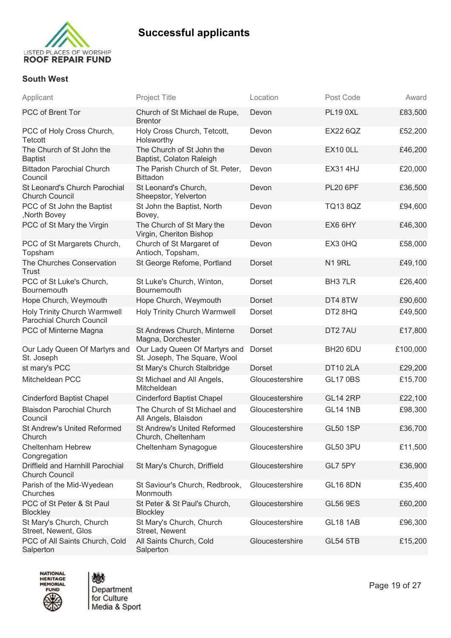

### **South West**

| Applicant                                                       | <b>Project Title</b>                                          | Location        | Post Code           | Award    |
|-----------------------------------------------------------------|---------------------------------------------------------------|-----------------|---------------------|----------|
| PCC of Brent Tor                                                | Church of St Michael de Rupe,<br><b>Brentor</b>               | Devon           | <b>PL19 0XL</b>     | £83,500  |
| PCC of Holy Cross Church,<br>Tetcott                            | Holy Cross Church, Tetcott,<br>Holsworthy                     | Devon           | <b>EX22 6QZ</b>     | £52,200  |
| The Church of St John the<br><b>Baptist</b>                     | The Church of St John the<br>Baptist, Colaton Raleigh         | Devon           | <b>EX10 0LL</b>     | £46,200  |
| <b>Bittadon Parochial Church</b><br>Council                     | The Parish Church of St. Peter,<br><b>Bittadon</b>            | Devon           | <b>EX314HJ</b>      | £20,000  |
| St Leonard's Church Parochial<br><b>Church Council</b>          | St Leonard's Church,<br>Sheepstor, Yelverton                  | Devon           | <b>PL20 6PF</b>     | £36,500  |
| PCC of St John the Baptist<br>, North Bovey                     | St John the Baptist, North<br>Bovey,                          | Devon           | <b>TQ13 8QZ</b>     | £94,600  |
| PCC of St Mary the Virgin                                       | The Church of St Mary the<br>Virgin, Cheriton Bishop          | Devon           | EX6 6HY             | £46,300  |
| PCC of St Margarets Church,<br>Topsham                          | Church of St Margaret of<br>Antioch, Topsham,                 | Devon           | EX3 0HQ             | £58,000  |
| The Churches Conservation<br>Trust                              | St George Refome, Portland                                    | <b>Dorset</b>   | <b>N1 9RL</b>       | £49,100  |
| PCC of St Luke's Church,<br><b>Bournemouth</b>                  | St Luke's Church, Winton,<br>Bournemouth                      | Dorset          | BH <sub>3</sub> 7LR | £26,400  |
| Hope Church, Weymouth                                           | Hope Church, Weymouth                                         | <b>Dorset</b>   | DT4 8TW             | £90,600  |
| Holy Trinity Church Warmwell<br><b>Parochial Church Council</b> | Holy Trinity Church Warmwell                                  | Dorset          | DT2 8HQ             | £49,500  |
| PCC of Minterne Magna                                           | St Andrews Church, Minterne<br>Magna, Dorchester              | Dorset          | DT27AU              | £17,800  |
| Our Lady Queen Of Martyrs and<br>St. Joseph                     | Our Lady Queen Of Martyrs and<br>St. Joseph, The Square, Wool | Dorset          | <b>BH20 6DU</b>     | £100,000 |
| st mary's PCC                                                   | St Mary's Church Stalbridge                                   | <b>Dorset</b>   | <b>DT10 2LA</b>     | £29,200  |
| Mitcheldean PCC                                                 | St Michael and All Angels,<br>Mitcheldean                     | Gloucestershire | <b>GL17 0BS</b>     | £15,700  |
| <b>Cinderford Baptist Chapel</b>                                | <b>Cinderford Baptist Chapel</b>                              | Gloucestershire | <b>GL14 2RP</b>     | £22,100  |
| <b>Blaisdon Parochial Church</b><br>Council                     | The Church of St Michael and<br>All Angels, Blaisdon          | Gloucestershire | <b>GL14 1NB</b>     | £98,300  |
| <b>St Andrew's United Reformed</b><br>Church                    | <b>St Andrew's United Reformed</b><br>Church, Cheltenham      | Gloucestershire | <b>GL50 1SP</b>     | £36,700  |
| Cheltenham Hebrew<br>Congregation                               | Cheltenham Synagogue                                          | Gloucestershire | <b>GL50 3PU</b>     | £11,500  |
| Driffield and Harnhill Parochial<br><b>Church Council</b>       | St Mary's Church, Driffield                                   | Gloucestershire | GL7 5PY             | £36,900  |
| Parish of the Mid-Wyedean<br>Churches                           | St Saviour's Church, Redbrook,<br>Monmouth                    | Gloucestershire | <b>GL16 8DN</b>     | £35,400  |
| PCC of St Peter & St Paul<br><b>Blockley</b>                    | St Peter & St Paul's Church,<br><b>Blockley</b>               | Gloucestershire | <b>GL56 9ES</b>     | £60,200  |
| St Mary's Church, Church<br>Street, Newent, Glos                | St Mary's Church, Church<br>Street, Newent                    | Gloucestershire | <b>GL18 1AB</b>     | £96,300  |
| PCC of All Saints Church, Cold<br>Salperton                     | All Saints Church, Cold<br>Salperton                          | Gloucestershire | <b>GL54 5TB</b>     | £15,200  |
|                                                                 |                                                               |                 |                     |          |





Page 19 of 27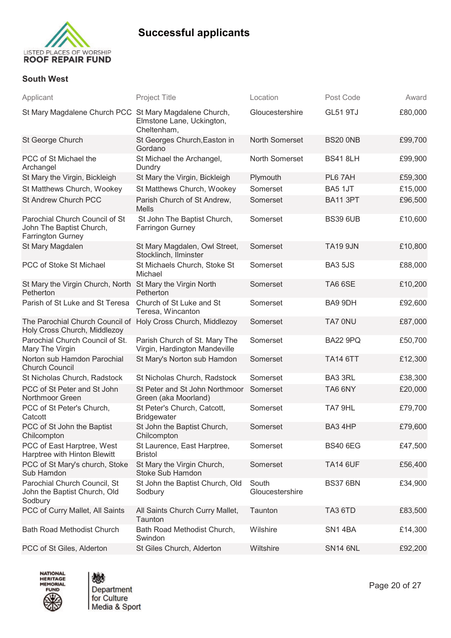

#### **South West**

| Applicant                                                                              | <b>Project Title</b>                                           | Location                 | Post Code       | Award   |
|----------------------------------------------------------------------------------------|----------------------------------------------------------------|--------------------------|-----------------|---------|
| St Mary Magdalene Church PCC St Mary Magdalene Church,                                 | Elmstone Lane, Uckington,<br>Cheltenham,                       | Gloucestershire          | <b>GL51 9TJ</b> | £80,000 |
| St George Church                                                                       | St Georges Church, Easton in<br>Gordano                        | <b>North Somerset</b>    | <b>BS20 0NB</b> | £99,700 |
| PCC of St Michael the<br>Archangel                                                     | St Michael the Archangel,<br>Dundry                            | North Somerset           | <b>BS41 8LH</b> | £99,900 |
| St Mary the Virgin, Bickleigh                                                          | St Mary the Virgin, Bickleigh                                  | Plymouth                 | PL6 7AH         | £59,300 |
| St Matthews Church, Wookey                                                             | St Matthews Church, Wookey                                     | Somerset                 | BA5 1JT         | £15,000 |
| St Andrew Church PCC                                                                   | Parish Church of St Andrew,<br><b>Mells</b>                    | Somerset                 | <b>BA11 3PT</b> | £96,500 |
| Parochial Church Council of St<br>John The Baptist Church,<br><b>Farrington Gurney</b> | St John The Baptist Church,<br><b>Farringon Gurney</b>         | Somerset                 | <b>BS39 6UB</b> | £10,600 |
| St Mary Magdalen                                                                       | St Mary Magdalen, Owl Street,<br>Stocklinch, Ilminster         | Somerset                 | <b>TA19 9JN</b> | £10,800 |
| PCC of Stoke St Michael                                                                | St Michaels Church, Stoke St<br>Michael                        | Somerset                 | <b>BA3 5JS</b>  | £88,000 |
| St Mary the Virgin Church, North<br>Petherton                                          | St Mary the Virgin North<br>Petherton                          | Somerset                 | TA66SE          | £10,200 |
| Parish of St Luke and St Teresa                                                        | Church of St Luke and St<br>Teresa, Wincanton                  | Somerset                 | BA9 9DH         | £92,600 |
| The Parochial Church Council of<br>Holy Cross Church, Middlezoy                        | Holy Cross Church, Middlezoy                                   | Somerset                 | TA7 0NU         | £87,000 |
| Parochial Church Council of St.<br>Mary The Virgin                                     | Parish Church of St. Mary The<br>Virgin, Hardington Mandeville | Somerset                 | <b>BA22 9PQ</b> | £50,700 |
| Norton sub Hamdon Parochial<br><b>Church Council</b>                                   | St Mary's Norton sub Hamdon                                    | Somerset                 | <b>TA14 6TT</b> | £12,300 |
| St Nicholas Church, Radstock                                                           | St Nicholas Church, Radstock                                   | Somerset                 | BA3 3RL         | £38,300 |
| PCC of St Peter and St John<br>Northmoor Green                                         | St Peter and St John Northmoor<br>Green (aka Moorland)         | Somerset                 | TA6 6NY         | £20,000 |
| PCC of St Peter's Church,<br>Catcott                                                   | St Peter's Church, Catcott,<br><b>Bridgewater</b>              | Somerset                 | TA7 9HL         | £79,700 |
| PCC of St John the Baptist<br>Chilcompton                                              | St John the Baptist Church,<br>Chilcompton                     | Somerset                 | BA3 4HP         | £79,600 |
| PCC of East Harptree, West<br>Harptree with Hinton Blewitt                             | St Laurence, East Harptree,<br><b>Bristol</b>                  | Somerset                 | <b>BS40 6EG</b> | £47,500 |
| PCC of St Mary's church, Stoke<br>Sub Hamdon                                           | St Mary the Virgin Church,<br>Stoke Sub Hamdon                 | Somerset                 | <b>TA14 6UF</b> | £56,400 |
| Parochial Church Council, St<br>John the Baptist Church, Old<br>Sodbury                | St John the Baptist Church, Old<br>Sodbury                     | South<br>Gloucestershire | <b>BS37 6BN</b> | £34,900 |
| PCC of Curry Mallet, All Saints                                                        | All Saints Church Curry Mallet,<br>Taunton                     | Taunton                  | TA3 6TD         | £83,500 |
| <b>Bath Road Methodist Church</b>                                                      | Bath Road Methodist Church,<br>Swindon                         | Wilshire                 | SN14BA          | £14,300 |
| PCC of St Giles, Alderton                                                              | St Giles Church, Alderton                                      | Wiltshire                | <b>SN14 6NL</b> | £92,200 |



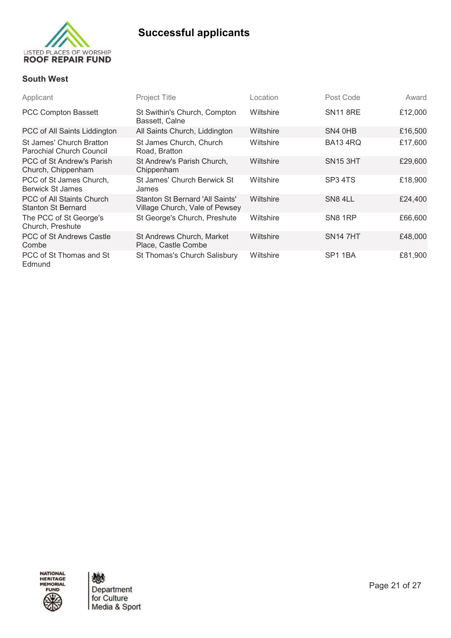

### **South West**

| Applicant                                                   | Project Title                                                     | _ocation  | Post Code           | Award   |
|-------------------------------------------------------------|-------------------------------------------------------------------|-----------|---------------------|---------|
| <b>PCC Compton Bassett</b>                                  | St Swithin's Church, Compton<br>Bassett, Calne                    | Wiltshire | <b>SN11 8RE</b>     | £12,000 |
| PCC of All Saints Liddington                                | All Saints Church, Liddington                                     | Wiltshire | SN4 0HB             | £16,500 |
| St James' Church Bratton<br><b>Parochial Church Council</b> | St James Church, Church<br>Road, Bratton                          | Wiltshire | <b>BA13 4RQ</b>     | £17,600 |
| PCC of St Andrew's Parish<br>Church, Chippenham             | St Andrew's Parish Church,<br>Chippenham                          | Wiltshire | <b>SN15 3HT</b>     | £29,600 |
| PCC of St James Church,<br>Berwick St James                 | St James' Church Berwick St<br>James                              | Wiltshire | SP <sub>3</sub> 4TS | £18,900 |
| PCC of All Staints Church<br><b>Stanton St Bernard</b>      | Stanton St Bernard 'All Saints'<br>Village Church, Vale of Pewsey | Wiltshire | SN8 4LL             | £24,400 |
| The PCC of St George's<br>Church, Preshute                  | St George's Church, Preshute                                      | Wiltshire | SN8 1RP             | £66,600 |
| <b>PCC of St Andrews Castle</b><br>Combe                    | St Andrews Church, Market<br>Place, Castle Combe                  | Wiltshire | <b>SN14 7HT</b>     | £48,000 |
| PCC of St Thomas and St<br>Edmund                           | St Thomas's Church Salisbury                                      | Wiltshire | SP <sub>1</sub> 1BA | £81,900 |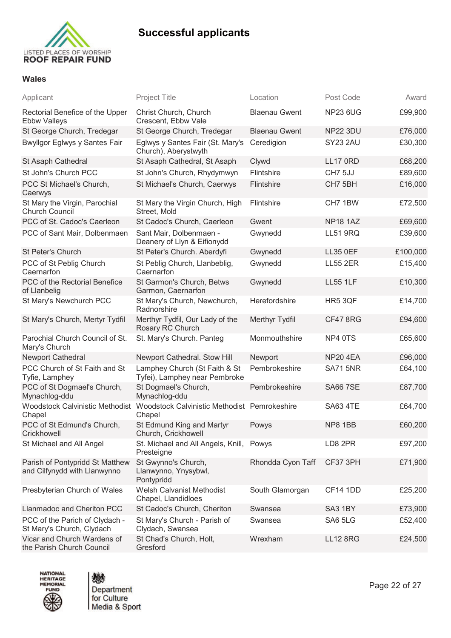

### **Wales**

| Applicant                                                       | <b>Project Title</b>                                                                   | Location             | Post Code       | Award    |
|-----------------------------------------------------------------|----------------------------------------------------------------------------------------|----------------------|-----------------|----------|
| Rectorial Benefice of the Upper<br><b>Ebbw Valleys</b>          | Christ Church, Church<br>Crescent, Ebbw Vale                                           | <b>Blaenau Gwent</b> | <b>NP23 6UG</b> | £99,900  |
| St George Church, Tredegar                                      | St George Church, Tredegar                                                             | <b>Blaenau Gwent</b> | <b>NP22 3DU</b> | £76,000  |
| Bwyllgor Eglwys y Santes Fair                                   | Eglwys y Santes Fair (St. Mary's<br>Church), Aberystwyth                               | Ceredigion           | SY23 2AU        | £30,300  |
| St Asaph Cathedral                                              | St Asaph Cathedral, St Asaph                                                           | Clywd                | <b>LL17 0RD</b> | £68,200  |
| St John's Church PCC                                            | St John's Church, Rhydymwyn                                                            | Flintshire           | CH7 5JJ         | £89,600  |
| PCC St Michael's Church,<br>Caerwys                             | St Michael's Church, Caerwys                                                           | Flintshire           | CH7 5BH         | £16,000  |
| St Mary the Virgin, Parochial<br><b>Church Council</b>          | St Mary the Virgin Church, High<br>Street, Mold                                        | Flintshire           | CH7 1BW         | £72,500  |
| PCC of St. Cadoc's Caerleon                                     | St Cadoc's Church, Caerleon                                                            | Gwent                | <b>NP18 1AZ</b> | £69,600  |
| PCC of Sant Mair, Dolbenmaen                                    | Sant Mair, Dolbenmaen -<br>Deanery of Llyn & Eifionydd                                 | Gwynedd              | <b>LL51 9RQ</b> | £39,600  |
| St Peter's Church                                               | St Peter's Church. Aberdyfi                                                            | Gwynedd              | <b>LL35 0EF</b> | £100,000 |
| PCC of St Peblig Church<br>Caernarfon                           | St Peblig Church, Llanbeblig,<br>Caernarfon                                            | Gwynedd              | <b>LL55 2ER</b> | £15,400  |
| PCC of the Rectorial Benefice<br>of Llanbelig                   | St Garmon's Church, Betws<br>Garmon, Caernarfon                                        | Gwynedd              | <b>LL55 1LF</b> | £10,300  |
| St Mary's Newchurch PCC                                         | St Mary's Church, Newchurch,<br>Radnorshire                                            | Herefordshire        | HR5 3QF         | £14,700  |
| St Mary's Church, Mertyr Tydfil                                 | Merthyr Tydfil, Our Lady of the<br>Rosary RC Church                                    | Merthyr Tydfil       | <b>CF47 8RG</b> | £94,600  |
| Parochial Church Council of St.<br>Mary's Church                | St. Mary's Church. Panteg                                                              | Monmouthshire        | NP4 0TS         | £65,600  |
| Newport Cathedral                                               | Newport Cathedral. Stow Hill                                                           | Newport              | <b>NP20 4EA</b> | £96,000  |
| PCC Church of St Faith and St<br>Tyfie, Lamphey                 | Lamphey Church (St Faith & St<br>Tyfei), Lamphey near Pembroke                         | Pembrokeshire        | <b>SA71 5NR</b> | £64,100  |
| PCC of St Dogmael's Church,<br>Mynachlog-ddu                    | St Dogmael's Church,<br>Mynachlog-ddu                                                  | Pembrokeshire        | <b>SA66 7SE</b> | £87,700  |
| Chapel                                                          | Woodstock Calvinistic Methodist Woodstock Calvinistic Methodist Pemrokeshire<br>Chapel |                      | <b>SA63 4TE</b> | £64,700  |
| PCC of St Edmund's Church,<br>Crickhowell                       | St Edmund King and Martyr<br>Church, Crickhowell                                       | Powys                | NP8 1BB         | £60,200  |
| St Michael and All Angel                                        | St. Michael and All Angels, Knill,<br>Presteigne                                       | Powys                | LD8 2PR         | £97,200  |
| Parish of Pontypridd St Matthew<br>and Cilfynydd with Llanwynno | St Gwynno's Church,<br>Llanwynno, Ynysybwl,<br>Pontypridd                              | Rhondda Cyon Taff    | CF37 3PH        | £71,900  |
| Presbyterian Church of Wales                                    | <b>Welsh Calvanist Methodist</b><br>Chapel, Llandidloes                                | South Glamorgan      | <b>CF14 1DD</b> | £25,200  |
| Llanmadoc and Cheriton PCC                                      | St Cadoc's Church, Cheriton                                                            | Swansea              | SA3 1BY         | £73,900  |
| PCC of the Parich of Clydach -<br>St Mary's Church, Clydach     | St Mary's Church - Parish of<br>Clydach, Swansea                                       | Swansea              | SA6 5LG         | £52,400  |
| Vicar and Church Wardens of<br>the Parish Church Council        | St Chad's Church, Holt,<br>Gresford                                                    | Wrexham              | <b>LL12 8RG</b> | £24,500  |



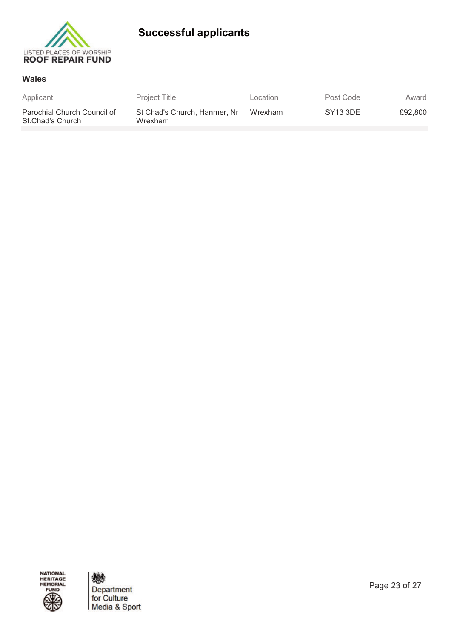

#### **Wales**

| Applicant                                       | <b>Project Title</b>                    | Location | Post Code            | Award   |
|-------------------------------------------------|-----------------------------------------|----------|----------------------|---------|
| Parochial Church Council of<br>St.Chad's Church | St Chad's Church, Hanmer, Nr<br>Wrexham | Wrexham  | SY <sub>13</sub> 3DE | £92.800 |

NATIONAL<br>HERITAGE<br>MEMORIAL FUND

戀 Department<br>for Culture<br>Media & Sport

Page 23 of 27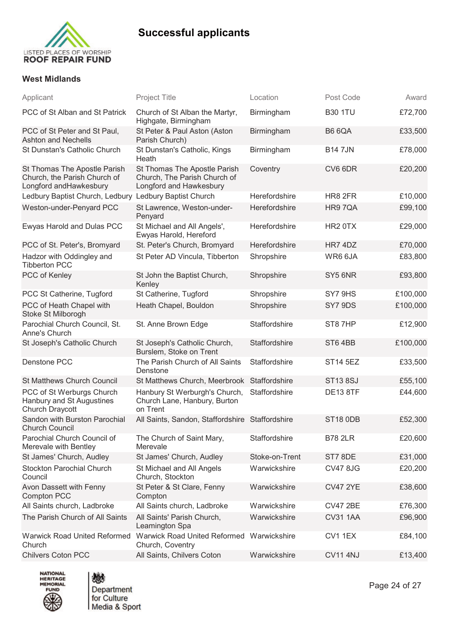



### **West Midlands**

| Applicant                                                                              | <b>Project Title</b>                                                                    | Location       | Post Code           | Award    |
|----------------------------------------------------------------------------------------|-----------------------------------------------------------------------------------------|----------------|---------------------|----------|
| PCC of St Alban and St Patrick                                                         | Church of St Alban the Martyr,<br>Highgate, Birmingham                                  | Birmingham     | <b>B30 1TU</b>      | £72,700  |
| PCC of St Peter and St Paul,<br><b>Ashton and Nechells</b>                             | St Peter & Paul Aston (Aston<br>Parish Church)                                          | Birmingham     | <b>B6 6QA</b>       | £33,500  |
| St Dunstan's Catholic Church                                                           | St Dunstan's Catholic, Kings<br>Heath                                                   | Birmingham     | <b>B147JN</b>       | £78,000  |
| St Thomas The Apostle Parish<br>Church, the Parish Church of<br>Longford andHawkesbury | St Thomas The Apostle Parish<br>Church, The Parish Church of<br>Longford and Hawkesbury | Coventry       | CV6 6DR             | £20,200  |
| Ledbury Baptist Church, Ledbury Ledbury Baptist Church                                 |                                                                                         | Herefordshire  | HR8 2FR             | £10,000  |
| Weston-under-Penyard PCC                                                               | St Lawrence, Weston-under-<br>Penyard                                                   | Herefordshire  | HR97QA              | £99,100  |
| Ewyas Harold and Dulas PCC                                                             | St Michael and All Angels',<br>Ewyas Harold, Hereford                                   | Herefordshire  | HR <sub>2</sub> 0TX | £29,000  |
| PCC of St. Peter's, Bromyard                                                           | St. Peter's Church, Bromyard                                                            | Herefordshire  | HR7 4DZ             | £70,000  |
| Hadzor with Oddingley and<br><b>Tibberton PCC</b>                                      | St Peter AD Vincula, Tibberton                                                          | Shropshire     | WR6 6JA             | £83,800  |
| PCC of Kenley                                                                          | St John the Baptist Church,<br>Kenley                                                   | Shropshire     | SY5 6NR             | £93,800  |
| PCC St Catherine, Tugford                                                              | St Catherine, Tugford                                                                   | Shropshire     | SY7 9HS             | £100,000 |
| PCC of Heath Chapel with<br>Stoke St Milborogh                                         | Heath Chapel, Bouldon                                                                   | Shropshire     | SY7 9DS             | £100,000 |
| Parochial Church Council, St.<br>Anne's Church                                         | St. Anne Brown Edge                                                                     | Staffordshire  | ST87HP              | £12,900  |
| St Joseph's Catholic Church                                                            | St Joseph's Catholic Church,<br>Burslem, Stoke on Trent                                 | Staffordshire  | ST64BB              | £100,000 |
| Denstone PCC                                                                           | The Parish Church of All Saints<br>Denstone                                             | Staffordshire  | <b>ST14 5EZ</b>     | £33,500  |
| <b>St Matthews Church Council</b>                                                      | St Matthews Church, Meerbrook                                                           | Staffordshire  | <b>ST13 8SJ</b>     | £55,100  |
| PCC of St Werburgs Church<br>Hanbury and St Augustines<br>Church Draycott              | Hanbury St Werburgh's Church,<br>Church Lane, Hanbury, Burton<br>on Trent               | Staffordshire  | <b>DE13 8TF</b>     | £44,600  |
| Sandon with Burston Parochial<br><b>Church Council</b>                                 | All Saints, Sandon, Staffordshire Staffordshire                                         |                | <b>ST18 0DB</b>     | £52,300  |
| Parochial Church Council of<br>Merevale with Bentley                                   | The Church of Saint Mary,<br>Merevale                                                   | Staffordshire  | <b>B78 2LR</b>      | £20,600  |
| St James' Church, Audley                                                               | St James' Church, Audley                                                                | Stoke-on-Trent | ST7 8DE             | £31,000  |
| <b>Stockton Parochial Church</b><br>Council                                            | St Michael and All Angels<br>Church, Stockton                                           | Warwickshire   | <b>CV47 8JG</b>     | £20,200  |
| Avon Dassett with Fenny<br><b>Compton PCC</b>                                          | St Peter & St Clare, Fenny<br>Compton                                                   | Warwickshire   | <b>CV47 2YE</b>     | £38,600  |
| All Saints church, Ladbroke                                                            | All Saints church, Ladbroke                                                             | Warwickshire   | <b>CV47 2BE</b>     | £76,300  |
| The Parish Church of All Saints                                                        | All Saints' Parish Church,<br>Leamington Spa                                            | Warwickshire   | <b>CV31 1AA</b>     | £96,900  |
| <b>Warwick Road United Reformed</b><br>Church                                          | <b>Warwick Road United Reformed</b><br>Church, Coventry                                 | Warwickshire   | CV1 1EX             | £84,100  |
| <b>Chilvers Coton PCC</b>                                                              | All Saints, Chilvers Coton                                                              | Warwickshire   | <b>CV11 4NJ</b>     | £13,400  |



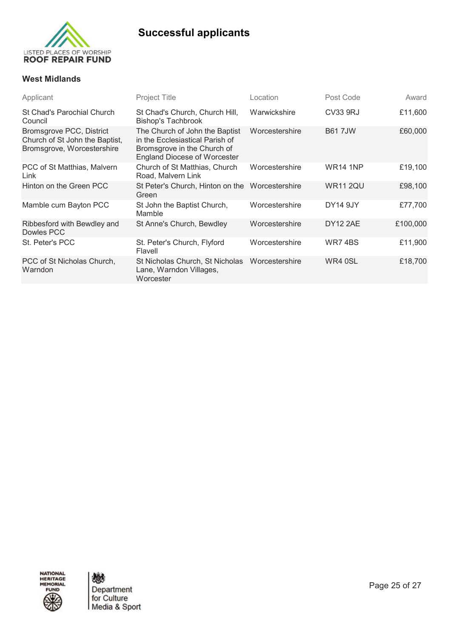

### **West Midlands**

| Applicant                                                                                | <b>Project Title</b>                                                                                                                    | Location       | Post Code       | Award    |
|------------------------------------------------------------------------------------------|-----------------------------------------------------------------------------------------------------------------------------------------|----------------|-----------------|----------|
| <b>St Chad's Parochial Church</b><br>Council                                             | St Chad's Church, Church Hill,<br><b>Bishop's Tachbrook</b>                                                                             | Warwickshire   | CV33 9RJ        | £11,600  |
| Bromsgrove PCC, District<br>Church of St John the Baptist,<br>Bromsgrove, Worcestershire | The Church of John the Baptist<br>in the Ecclesiastical Parish of<br>Bromsgrove in the Church of<br><b>England Diocese of Worcester</b> | Worcestershire | <b>B617JW</b>   | £60,000  |
| PCC of St Matthias, Malvern<br>Link                                                      | Church of St Matthias, Church<br>Road, Malvern Link                                                                                     | Worcestershire | <b>WR14 1NP</b> | £19,100  |
| Hinton on the Green PCC                                                                  | St Peter's Church, Hinton on the<br>Green                                                                                               | Worcestershire | <b>WR11 2QU</b> | £98,100  |
| Mamble cum Bayton PCC                                                                    | St John the Baptist Church,<br>Mamble                                                                                                   | Worcestershire | <b>DY14 9JY</b> | £77,700  |
| Ribbesford with Bewdley and<br>Dowles PCC                                                | St Anne's Church, Bewdley                                                                                                               | Worcestershire | <b>DY12 2AE</b> | £100,000 |
| St. Peter's PCC                                                                          | St. Peter's Church, Flyford<br>Flavell                                                                                                  | Worcestershire | WR74BS          | £11,900  |
| PCC of St Nicholas Church,<br>Warndon                                                    | St Nicholas Church, St Nicholas<br>Lane, Warndon Villages,<br>Worcester                                                                 | Worcestershire | WR4 0SL         | £18,700  |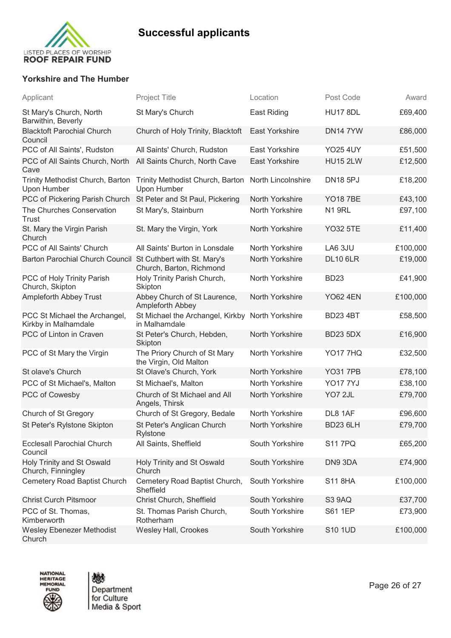

### **Yorkshire and The Humber**

| Applicant                                                   | <b>Project Title</b>                                               | Location              | Post Code       | Award    |
|-------------------------------------------------------------|--------------------------------------------------------------------|-----------------------|-----------------|----------|
| St Mary's Church, North<br>Barwithin, Beverly               | St Mary's Church                                                   | East Riding           | <b>HU17 8DL</b> | £69,400  |
| <b>Blacktoft Parochial Church</b><br>Council                | Church of Holy Trinity, Blacktoft                                  | <b>East Yorkshire</b> | <b>DN14 7YW</b> | £86,000  |
| PCC of All Saints', Rudston                                 | All Saints' Church, Rudston                                        | East Yorkshire        | <b>YO25 4UY</b> | £51,500  |
| PCC of All Saints Church, North<br>Cave                     | All Saints Church, North Cave                                      | <b>East Yorkshire</b> | <b>HU15 2LW</b> | £12,500  |
| Trinity Methodist Church, Barton<br>Upon Humber             | Trinity Methodist Church, Barton North Lincolnshire<br>Upon Humber |                       | <b>DN18 5PJ</b> | £18,200  |
| PCC of Pickering Parish Church                              | St Peter and St Paul, Pickering                                    | North Yorkshire       | <b>YO18 7BE</b> | £43,100  |
| The Churches Conservation<br>Trust                          | St Mary's, Stainburn                                               | North Yorkshire       | <b>N1 9RL</b>   | £97,100  |
| St. Mary the Virgin Parish<br>Church                        | St. Mary the Virgin, York                                          | North Yorkshire       | <b>YO32 5TE</b> | £11,400  |
| PCC of All Saints' Church                                   | All Saints' Burton in Lonsdale                                     | North Yorkshire       | LA6 3JU         | £100,000 |
| Barton Parochial Church Council St Cuthbert with St. Mary's | Church, Barton, Richmond                                           | North Yorkshire       | <b>DL10 6LR</b> | £19,000  |
| PCC of Holy Trinity Parish<br>Church, Skipton               | Holy Trinity Parish Church,<br>Skipton                             | North Yorkshire       | <b>BD23</b>     | £41,900  |
| <b>Ampleforth Abbey Trust</b>                               | Abbey Church of St Laurence,<br>Ampleforth Abbey                   | North Yorkshire       | <b>YO62 4EN</b> | £100,000 |
| PCC St Michael the Archangel,<br>Kirkby in Malhamdale       | St Michael the Archangel, Kirkby North Yorkshire<br>in Malhamdale  |                       | <b>BD23 4BT</b> | £58,500  |
| PCC of Linton in Craven                                     | St Peter's Church, Hebden,<br>Skipton                              | North Yorkshire       | <b>BD23 5DX</b> | £16,900  |
| PCC of St Mary the Virgin                                   | The Priory Church of St Mary<br>the Virgin, Old Malton             | North Yorkshire       | <b>YO17 7HQ</b> | £32,500  |
| St olave's Church                                           | St Olave's Church, York                                            | North Yorkshire       | <b>YO31 7PB</b> | £78,100  |
| PCC of St Michael's, Malton                                 | St Michael's, Malton                                               | North Yorkshire       | <b>YO177YJ</b>  | £38,100  |
| PCC of Cowesby                                              | Church of St Michael and All<br>Angels, Thirsk                     | North Yorkshire       | YO7 2JL         | £79,700  |
| Church of St Gregory                                        | Church of St Gregory, Bedale                                       | North Yorkshire       | DL8 1AF         | £96,600  |
| St Peter's Rylstone Skipton                                 | St Peter's Anglican Church<br>Rylstone                             | North Yorkshire       | <b>BD23 6LH</b> | £79,700  |
| <b>Ecclesall Parochial Church</b><br>Council                | All Saints, Sheffield                                              | South Yorkshire       | <b>S11 7PQ</b>  | £65,200  |
| Holy Trinity and St Oswald<br>Church, Finningley            | Holy Trinity and St Oswald<br>Church                               | South Yorkshire       | DN9 3DA         | £74,900  |
| Cemetery Road Baptist Church                                | Cemetery Road Baptist Church,<br>Sheffield                         | South Yorkshire       | <b>S11 8HA</b>  | £100,000 |
| <b>Christ Curch Pitsmoor</b>                                | Christ Church, Sheffield                                           | South Yorkshire       | S3 9AQ          | £37,700  |
| PCC of St. Thomas,<br>Kimberworth                           | St. Thomas Parish Church,<br>Rotherham                             | South Yorkshire       | <b>S61 1EP</b>  | £73,900  |
| <b>Wesley Ebenezer Methodist</b><br>Church                  | Wesley Hall, Crookes                                               | South Yorkshire       | <b>S10 1UD</b>  | £100,000 |